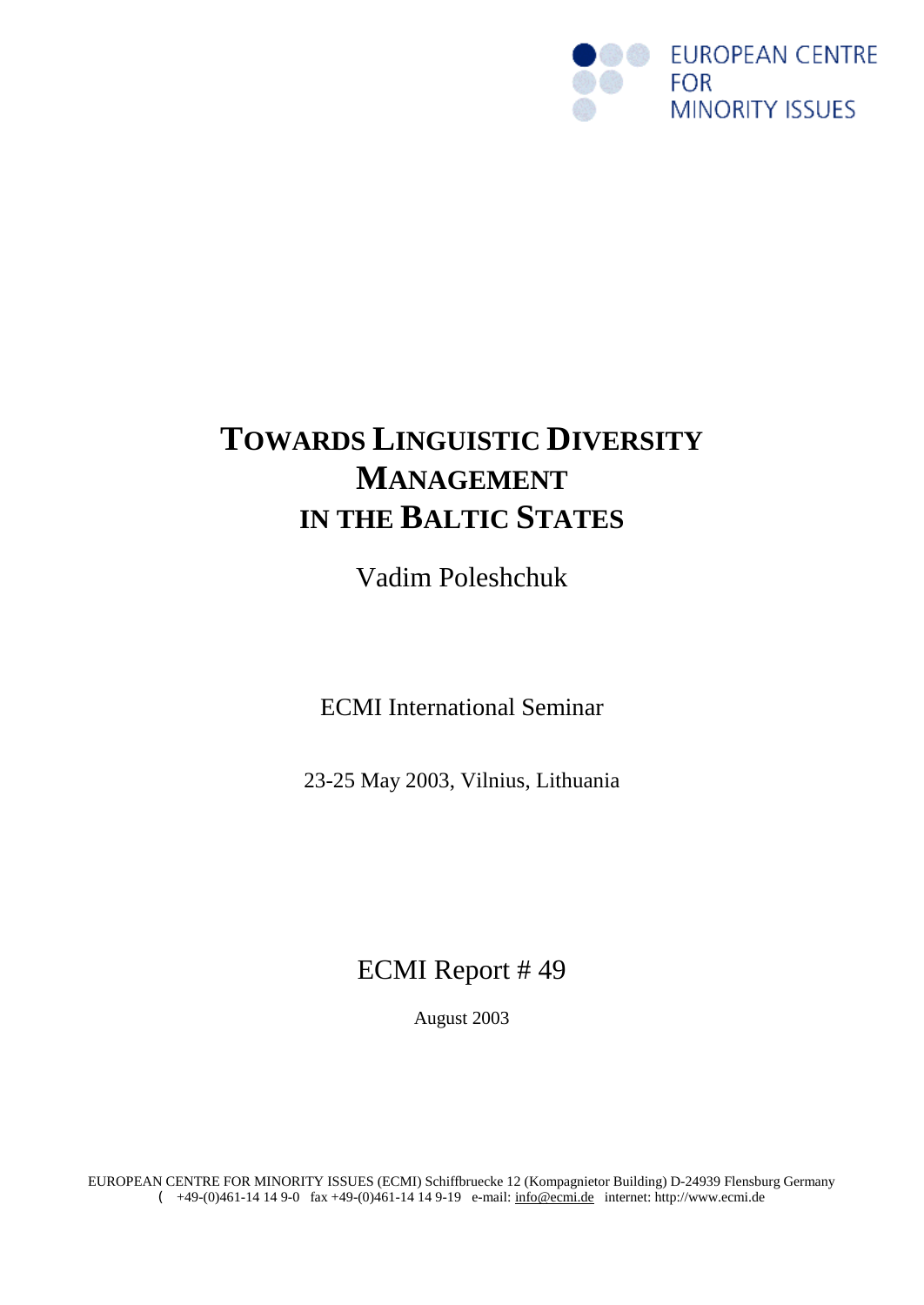

# **TOWARDS LINGUISTIC DIVERSITY MANAGEMENT IN THE BALTIC STATES**

Vadim Poleshchuk

ECMI International Seminar

23-25 May 2003, Vilnius, Lithuania

# ECMI Report # 49

August 2003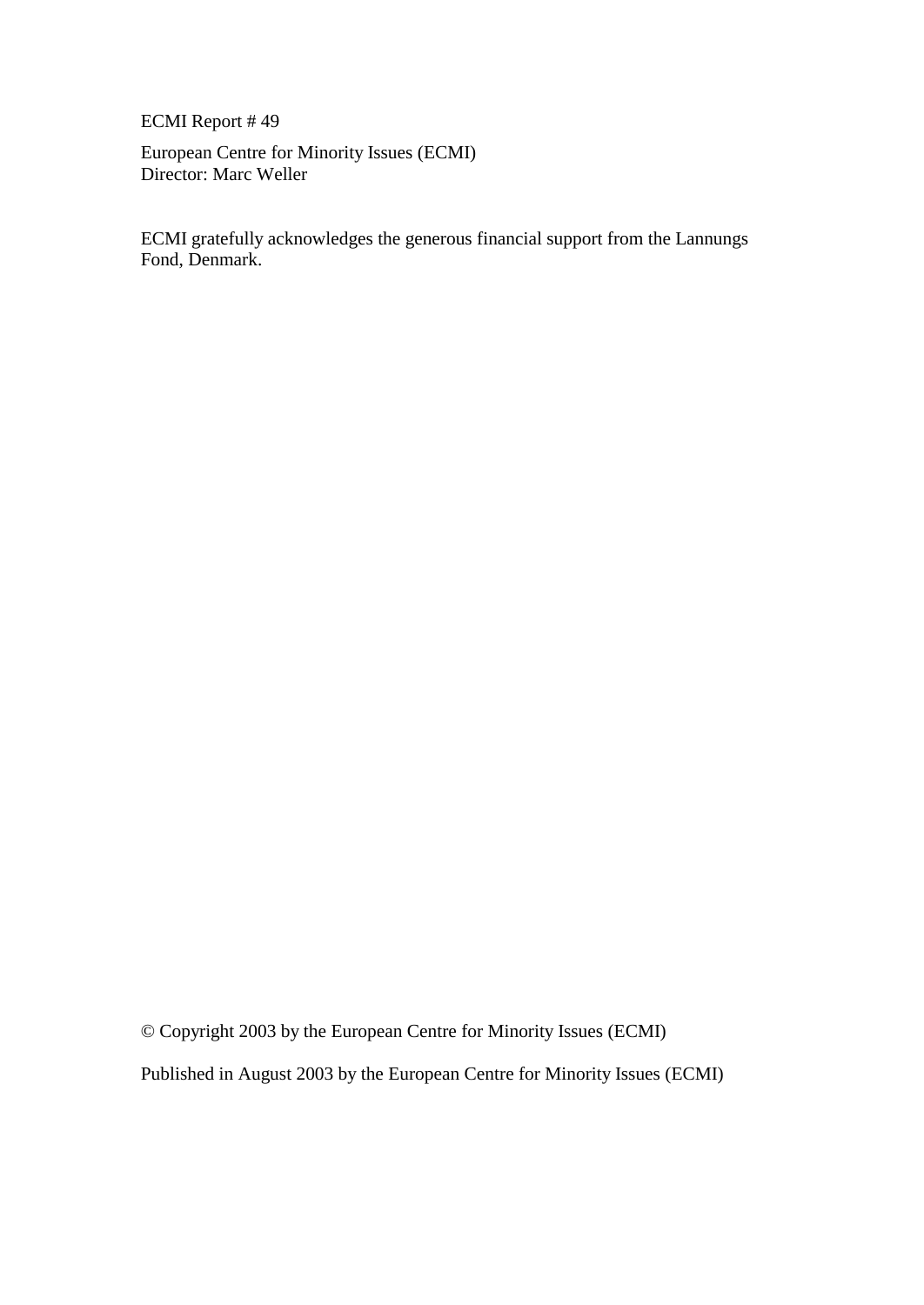ECMI Report # 49

European Centre for Minority Issues (ECMI) Director: Marc Weller

ECMI gratefully acknowledges the generous financial support from the Lannungs Fond, Denmark.

© Copyright 2003 by the European Centre for Minority Issues (ECMI) Published in August 2003 by the European Centre for Minority Issues (ECMI)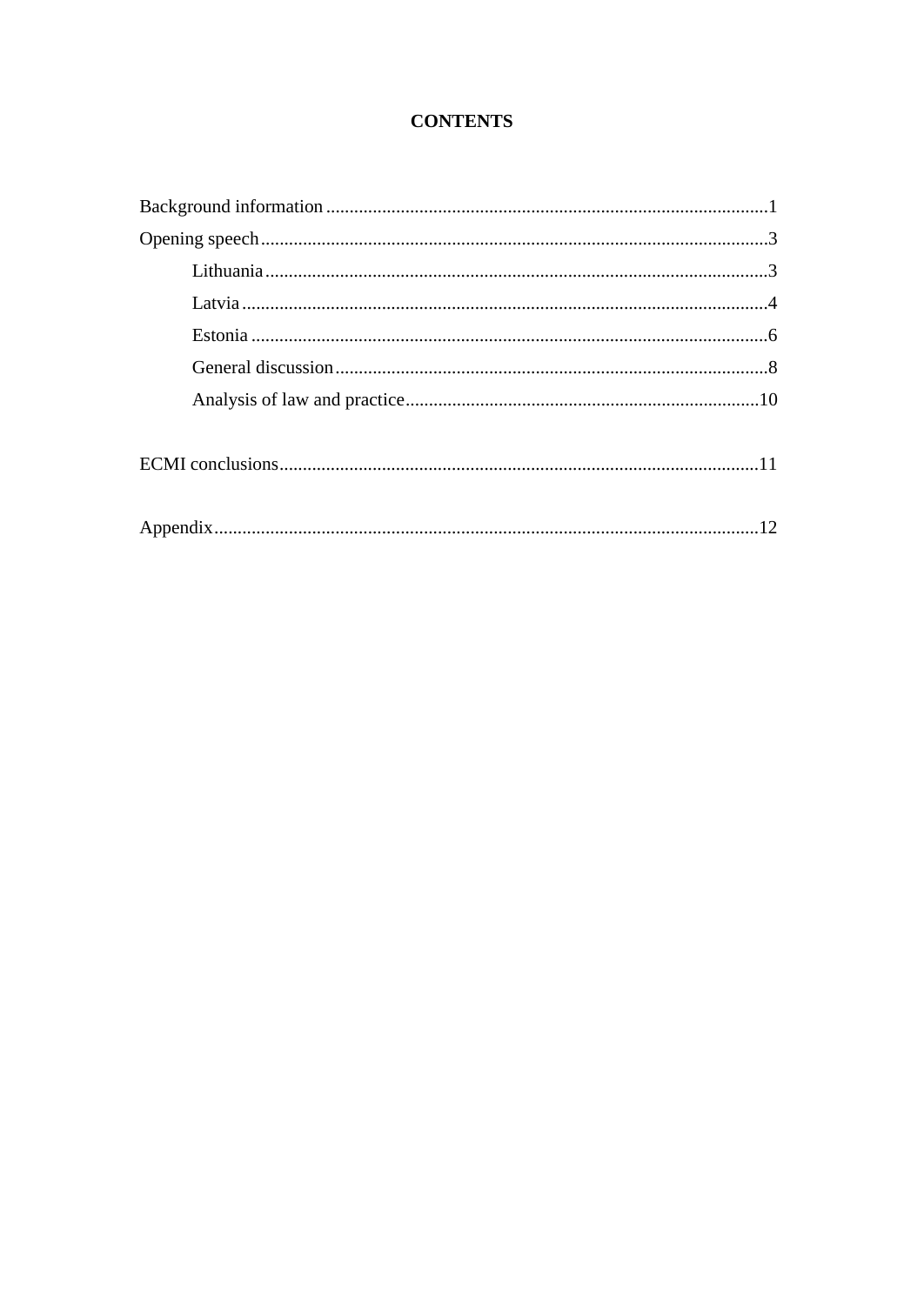# **CONTENTS**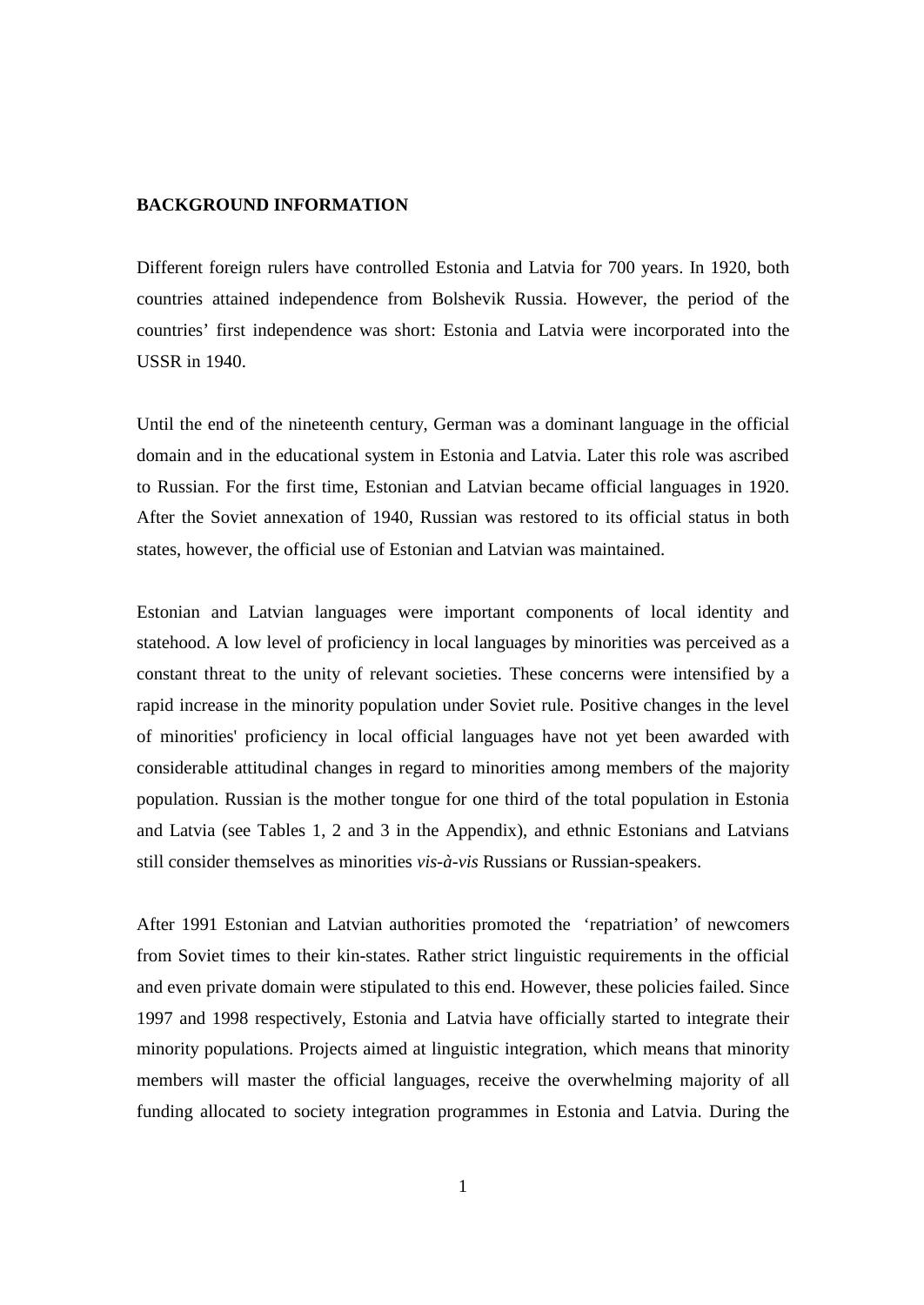## **BACKGROUND INFORMATION**

Different foreign rulers have controlled Estonia and Latvia for 700 years. In 1920, both countries attained independence from Bolshevik Russia. However, the period of the countries' first independence was short: Estonia and Latvia were incorporated into the USSR in 1940.

Until the end of the nineteenth century, German was a dominant language in the official domain and in the educational system in Estonia and Latvia. Later this role was ascribed to Russian. For the first time, Estonian and Latvian became official languages in 1920. After the Soviet annexation of 1940, Russian was restored to its official status in both states, however, the official use of Estonian and Latvian was maintained.

Estonian and Latvian languages were important components of local identity and statehood. A low level of proficiency in local languages by minorities was perceived as a constant threat to the unity of relevant societies. These concerns were intensified by a rapid increase in the minority population under Soviet rule. Positive changes in the level of minorities' proficiency in local official languages have not yet been awarded with considerable attitudinal changes in regard to minorities among members of the majority population. Russian is the mother tongue for one third of the total population in Estonia and Latvia (see Tables 1, 2 and 3 in the Appendix), and ethnic Estonians and Latvians still consider themselves as minorities *vis-à-vis* Russians or Russian-speakers.

After 1991 Estonian and Latvian authorities promoted the 'repatriation' of newcomers from Soviet times to their kin-states. Rather strict linguistic requirements in the official and even private domain were stipulated to this end. However, these policies failed. Since 1997 and 1998 respectively, Estonia and Latvia have officially started to integrate their minority populations. Projects aimed at linguistic integration, which means that minority members will master the official languages, receive the overwhelming majority of all funding allocated to society integration programmes in Estonia and Latvia. During the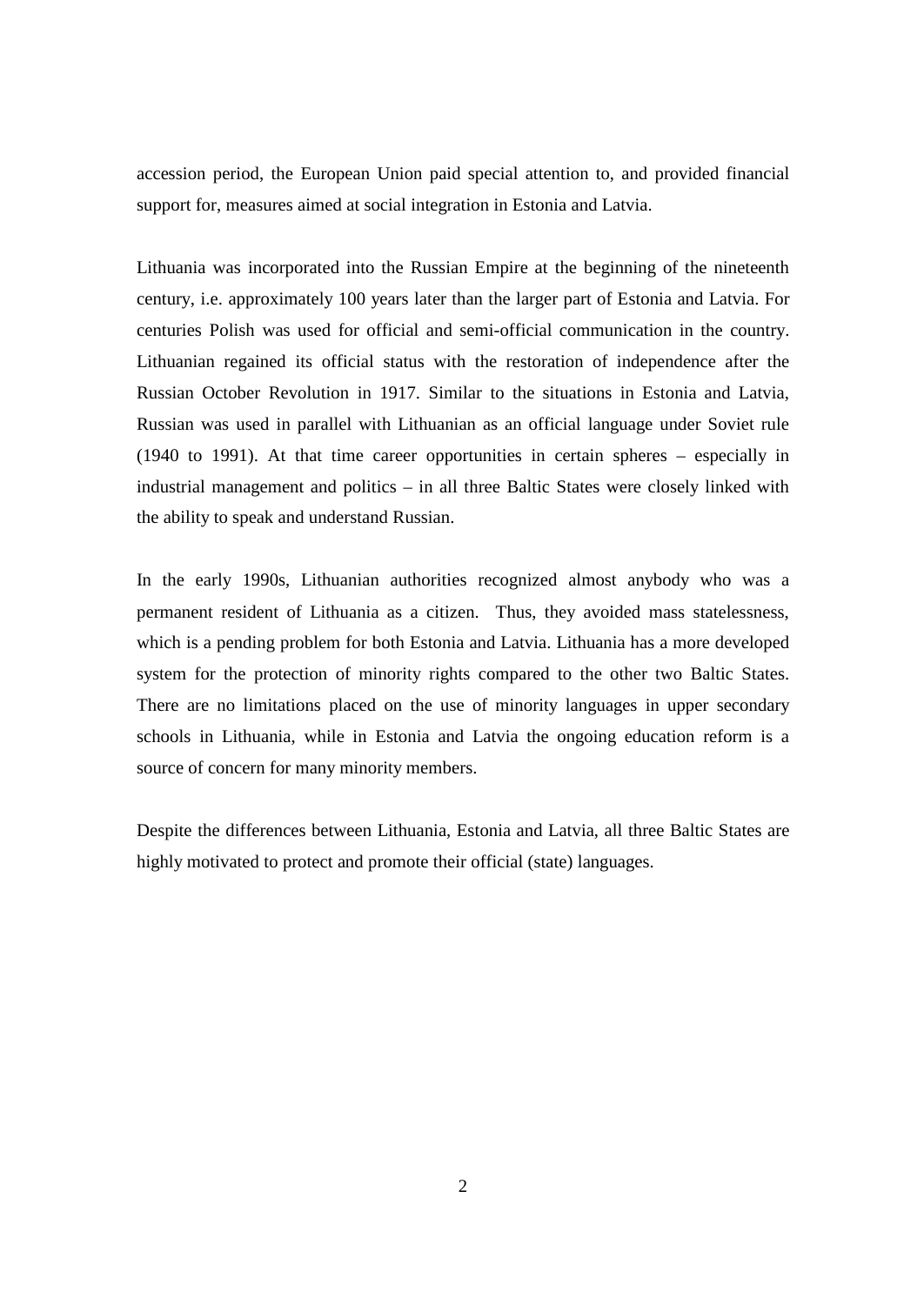accession period, the European Union paid special attention to, and provided financial support for, measures aimed at social integration in Estonia and Latvia.

Lithuania was incorporated into the Russian Empire at the beginning of the nineteenth century, i.e. approximately 100 years later than the larger part of Estonia and Latvia. For centuries Polish was used for official and semi-official communication in the country. Lithuanian regained its official status with the restoration of independence after the Russian October Revolution in 1917. Similar to the situations in Estonia and Latvia, Russian was used in parallel with Lithuanian as an official language under Soviet rule (1940 to 1991). At that time career opportunities in certain spheres – especially in industrial management and politics – in all three Baltic States were closely linked with the ability to speak and understand Russian.

In the early 1990s, Lithuanian authorities recognized almost anybody who was a permanent resident of Lithuania as a citizen. Thus, they avoided mass statelessness, which is a pending problem for both Estonia and Latvia. Lithuania has a more developed system for the protection of minority rights compared to the other two Baltic States. There are no limitations placed on the use of minority languages in upper secondary schools in Lithuania, while in Estonia and Latvia the ongoing education reform is a source of concern for many minority members.

Despite the differences between Lithuania, Estonia and Latvia, all three Baltic States are highly motivated to protect and promote their official (state) languages.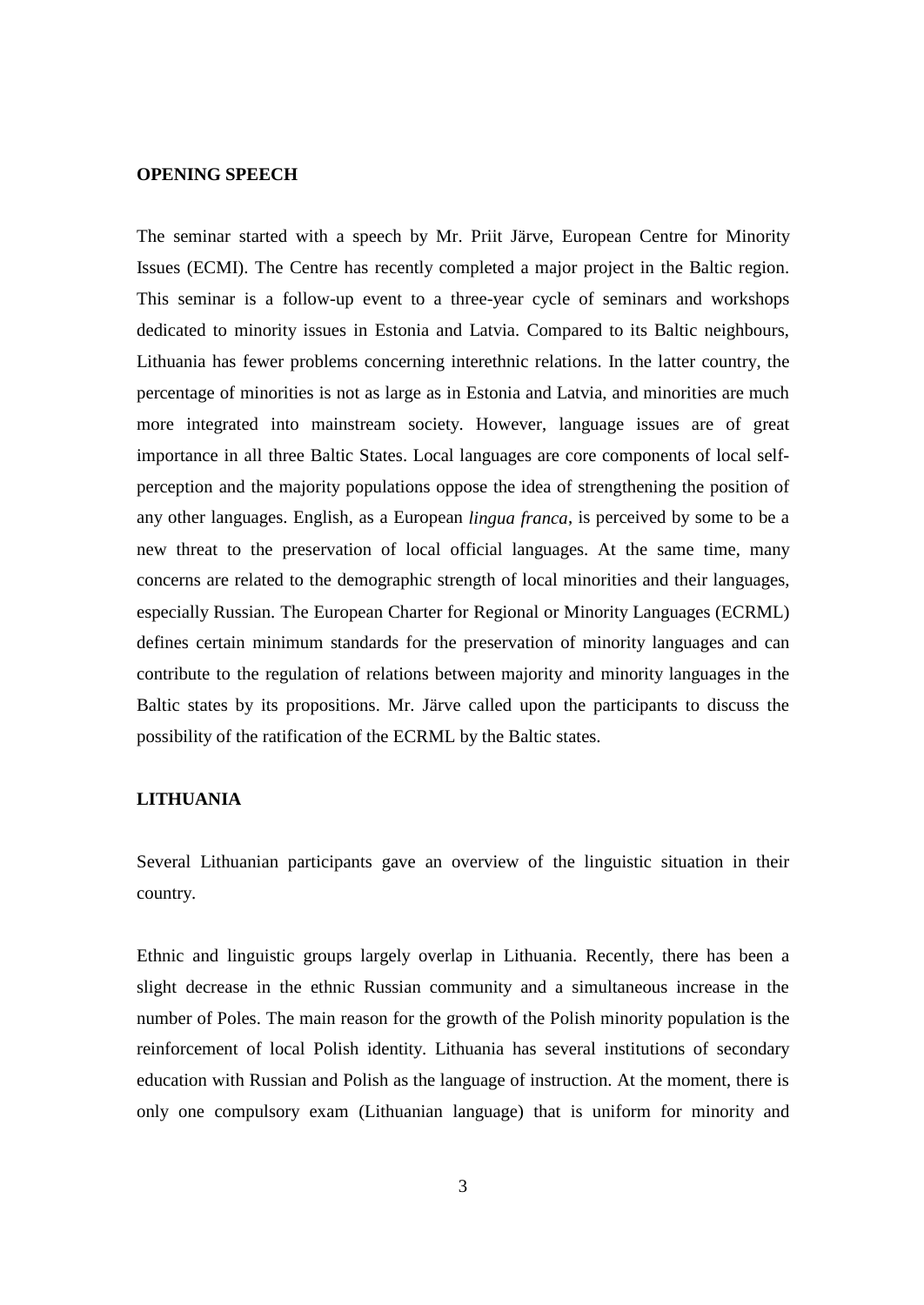## **OPENING SPEECH**

The seminar started with a speech by Mr. Priit Järve, European Centre for Minority Issues (ECMI). The Centre has recently completed a major project in the Baltic region. This seminar is a follow-up event to a three-year cycle of seminars and workshops dedicated to minority issues in Estonia and Latvia. Compared to its Baltic neighbours, Lithuania has fewer problems concerning interethnic relations. In the latter country, the percentage of minorities is not as large as in Estonia and Latvia, and minorities are much more integrated into mainstream society. However, language issues are of great importance in all three Baltic States. Local languages are core components of local selfperception and the majority populations oppose the idea of strengthening the position of any other languages. English, as a European *lingua franca*, is perceived by some to be a new threat to the preservation of local official languages. At the same time, many concerns are related to the demographic strength of local minorities and their languages, especially Russian. The European Charter for Regional or Minority Languages (ECRML) defines certain minimum standards for the preservation of minority languages and can contribute to the regulation of relations between majority and minority languages in the Baltic states by its propositions. Mr. Järve called upon the participants to discuss the possibility of the ratification of the ECRML by the Baltic states.

## **LITHUANIA**

Several Lithuanian participants gave an overview of the linguistic situation in their country.

Ethnic and linguistic groups largely overlap in Lithuania. Recently, there has been a slight decrease in the ethnic Russian community and a simultaneous increase in the number of Poles. The main reason for the growth of the Polish minority population is the reinforcement of local Polish identity. Lithuania has several institutions of secondary education with Russian and Polish as the language of instruction. At the moment, there is only one compulsory exam (Lithuanian language) that is uniform for minority and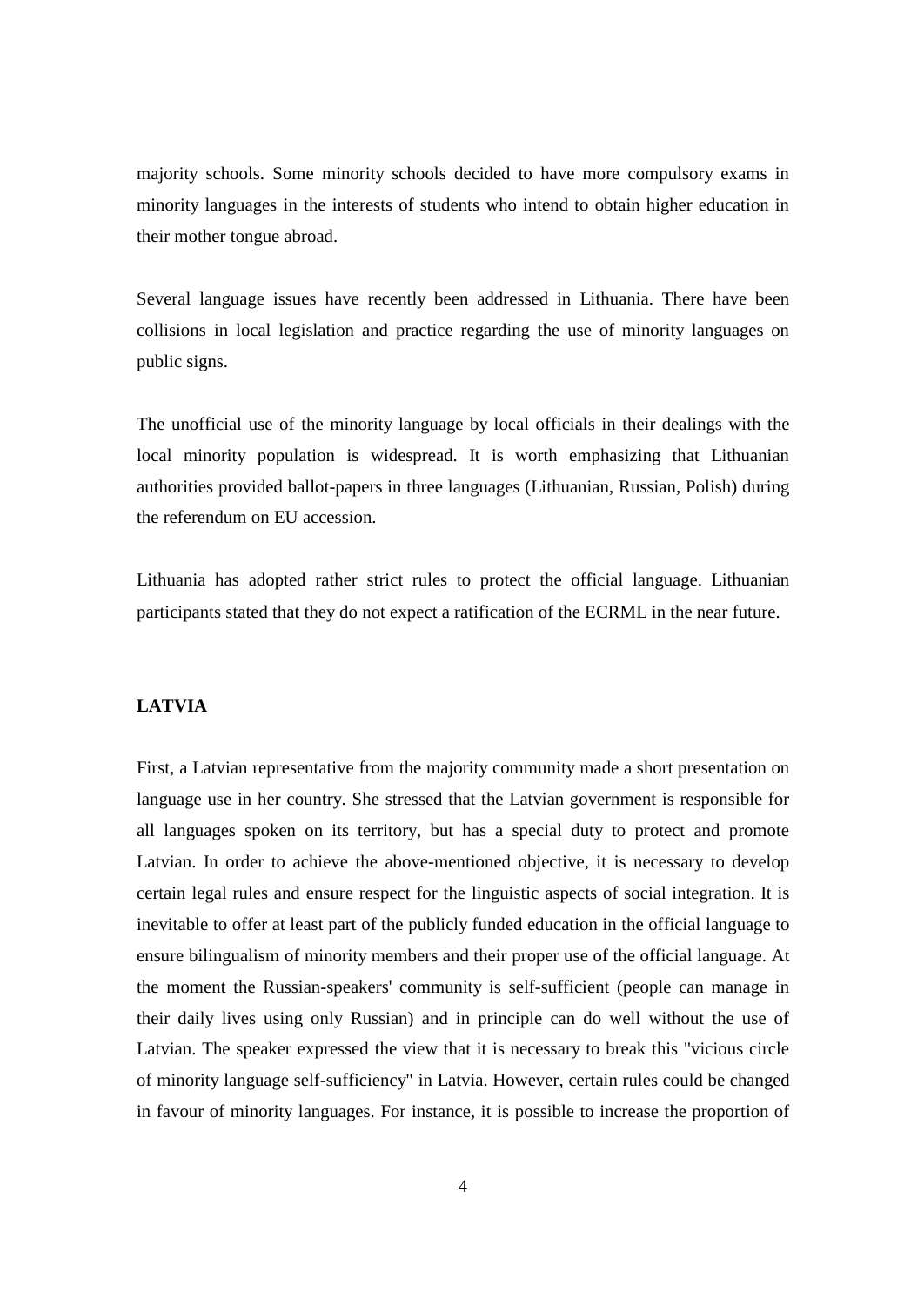majority schools. Some minority schools decided to have more compulsory exams in minority languages in the interests of students who intend to obtain higher education in their mother tongue abroad.

Several language issues have recently been addressed in Lithuania. There have been collisions in local legislation and practice regarding the use of minority languages on public signs.

The unofficial use of the minority language by local officials in their dealings with the local minority population is widespread. It is worth emphasizing that Lithuanian authorities provided ballot-papers in three languages (Lithuanian, Russian, Polish) during the referendum on EU accession.

Lithuania has adopted rather strict rules to protect the official language. Lithuanian participants stated that they do not expect a ratification of the ECRML in the near future.

## **LATVIA**

First, a Latvian representative from the majority community made a short presentation on language use in her country. She stressed that the Latvian government is responsible for all languages spoken on its territory, but has a special duty to protect and promote Latvian. In order to achieve the above-mentioned objective, it is necessary to develop certain legal rules and ensure respect for the linguistic aspects of social integration. It is inevitable to offer at least part of the publicly funded education in the official language to ensure bilingualism of minority members and their proper use of the official language. At the moment the Russian-speakers' community is self-sufficient (people can manage in their daily lives using only Russian) and in principle can do well without the use of Latvian. The speaker expressed the view that it is necessary to break this "vicious circle of minority language self-sufficiency" in Latvia. However, certain rules could be changed in favour of minority languages. For instance, it is possible to increase the proportion of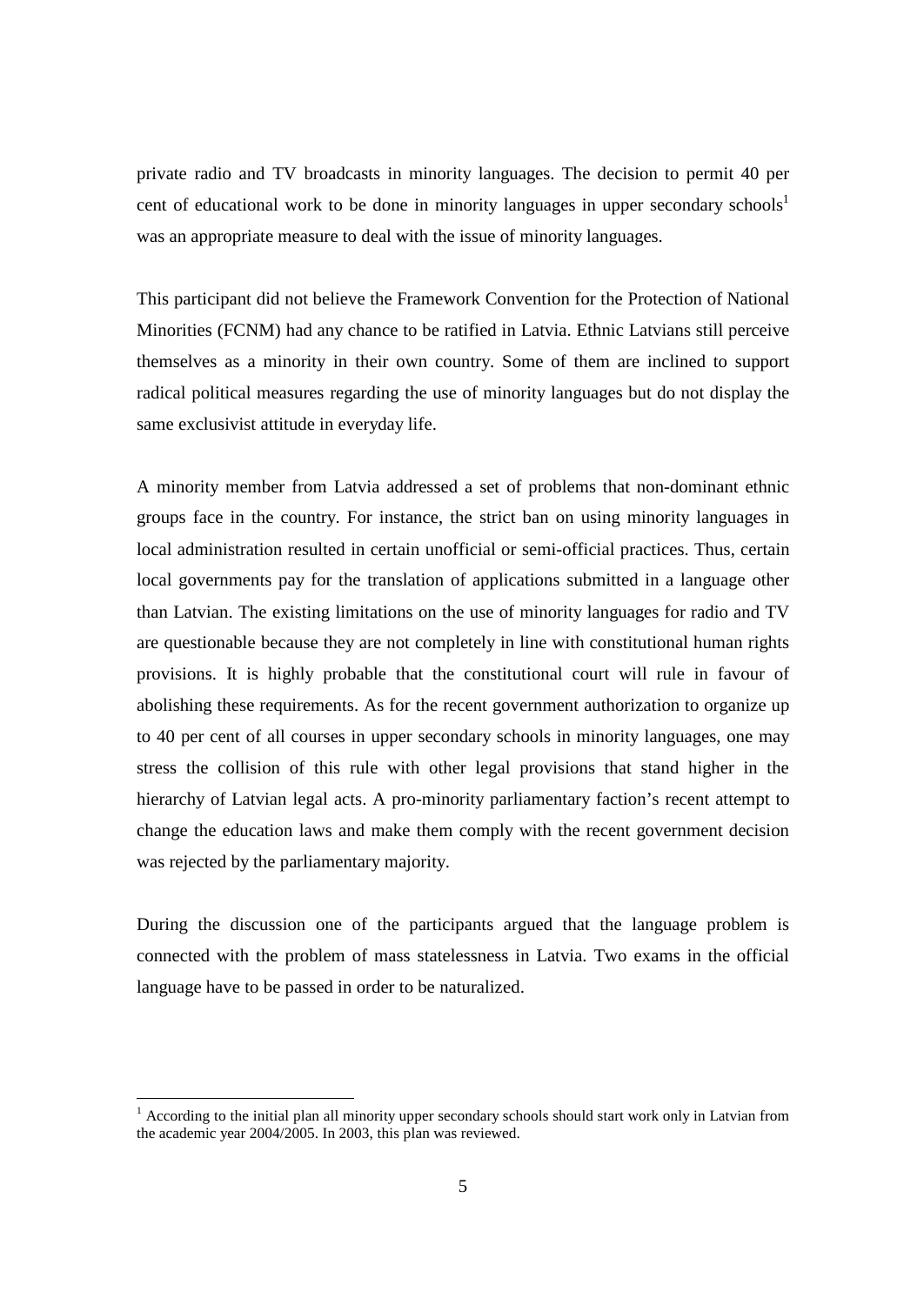private radio and TV broadcasts in minority languages. The decision to permit 40 per cent of educational work to be done in minority languages in upper secondary schools<sup>1</sup> was an appropriate measure to deal with the issue of minority languages.

This participant did not believe the Framework Convention for the Protection of National Minorities (FCNM) had any chance to be ratified in Latvia. Ethnic Latvians still perceive themselves as a minority in their own country. Some of them are inclined to support radical political measures regarding the use of minority languages but do not display the same exclusivist attitude in everyday life.

A minority member from Latvia addressed a set of problems that non-dominant ethnic groups face in the country. For instance, the strict ban on using minority languages in local administration resulted in certain unofficial or semi-official practices. Thus, certain local governments pay for the translation of applications submitted in a language other than Latvian. The existing limitations on the use of minority languages for radio and TV are questionable because they are not completely in line with constitutional human rights provisions. It is highly probable that the constitutional court will rule in favour of abolishing these requirements. As for the recent government authorization to organize up to 40 per cent of all courses in upper secondary schools in minority languages, one may stress the collision of this rule with other legal provisions that stand higher in the hierarchy of Latvian legal acts. A pro-minority parliamentary faction's recent attempt to change the education laws and make them comply with the recent government decision was rejected by the parliamentary majority.

During the discussion one of the participants argued that the language problem is connected with the problem of mass statelessness in Latvia. Two exams in the official language have to be passed in order to be naturalized.

-

 $<sup>1</sup>$  According to the initial plan all minority upper secondary schools should start work only in Latvian from</sup> the academic year 2004/2005. In 2003, this plan was reviewed.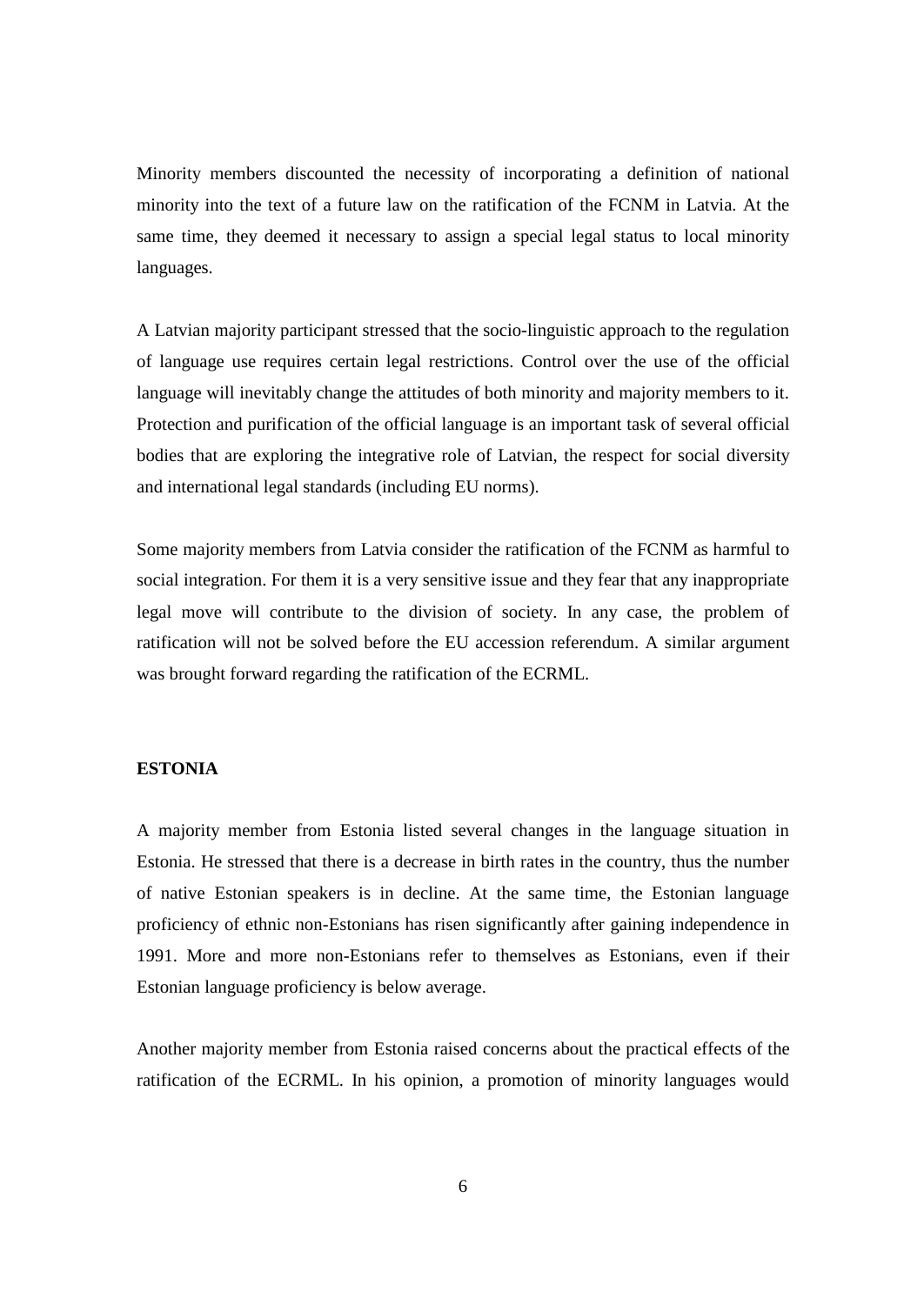Minority members discounted the necessity of incorporating a definition of national minority into the text of a future law on the ratification of the FCNM in Latvia. At the same time, they deemed it necessary to assign a special legal status to local minority languages.

A Latvian majority participant stressed that the socio-linguistic approach to the regulation of language use requires certain legal restrictions. Control over the use of the official language will inevitably change the attitudes of both minority and majority members to it. Protection and purification of the official language is an important task of several official bodies that are exploring the integrative role of Latvian, the respect for social diversity and international legal standards (including EU norms).

Some majority members from Latvia consider the ratification of the FCNM as harmful to social integration. For them it is a very sensitive issue and they fear that any inappropriate legal move will contribute to the division of society. In any case, the problem of ratification will not be solved before the EU accession referendum. A similar argument was brought forward regarding the ratification of the ECRML.

## **ESTONIA**

A majority member from Estonia listed several changes in the language situation in Estonia. He stressed that there is a decrease in birth rates in the country, thus the number of native Estonian speakers is in decline. At the same time, the Estonian language proficiency of ethnic non-Estonians has risen significantly after gaining independence in 1991. More and more non-Estonians refer to themselves as Estonians, even if their Estonian language proficiency is below average.

Another majority member from Estonia raised concerns about the practical effects of the ratification of the ECRML. In his opinion, a promotion of minority languages would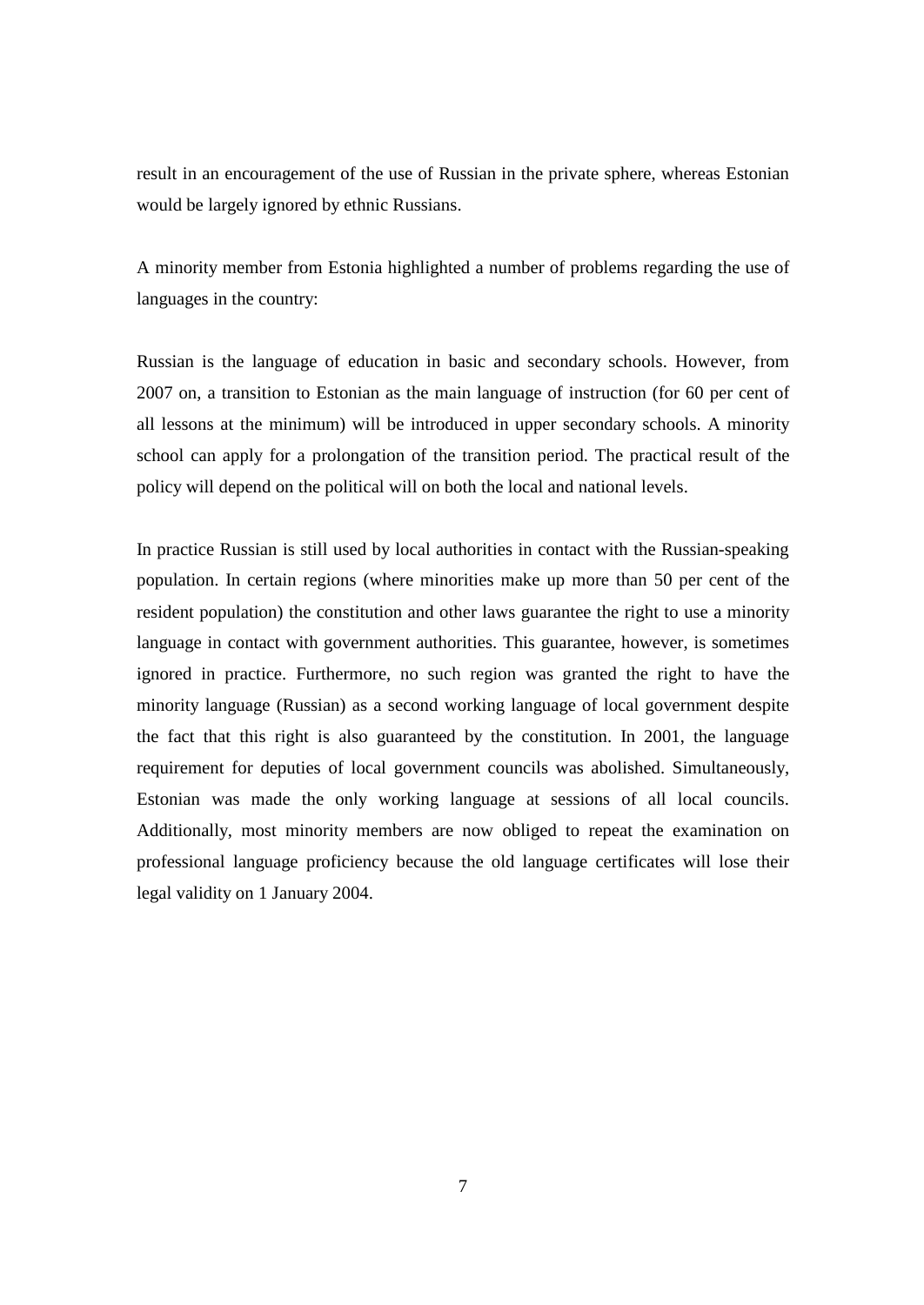result in an encouragement of the use of Russian in the private sphere, whereas Estonian would be largely ignored by ethnic Russians.

A minority member from Estonia highlighted a number of problems regarding the use of languages in the country:

Russian is the language of education in basic and secondary schools. However, from 2007 on, a transition to Estonian as the main language of instruction (for 60 per cent of all lessons at the minimum) will be introduced in upper secondary schools. A minority school can apply for a prolongation of the transition period. The practical result of the policy will depend on the political will on both the local and national levels.

In practice Russian is still used by local authorities in contact with the Russian-speaking population. In certain regions (where minorities make up more than 50 per cent of the resident population) the constitution and other laws guarantee the right to use a minority language in contact with government authorities. This guarantee, however, is sometimes ignored in practice. Furthermore, no such region was granted the right to have the minority language (Russian) as a second working language of local government despite the fact that this right is also guaranteed by the constitution. In 2001, the language requirement for deputies of local government councils was abolished. Simultaneously, Estonian was made the only working language at sessions of all local councils. Additionally, most minority members are now obliged to repeat the examination on professional language proficiency because the old language certificates will lose their legal validity on 1 January 2004.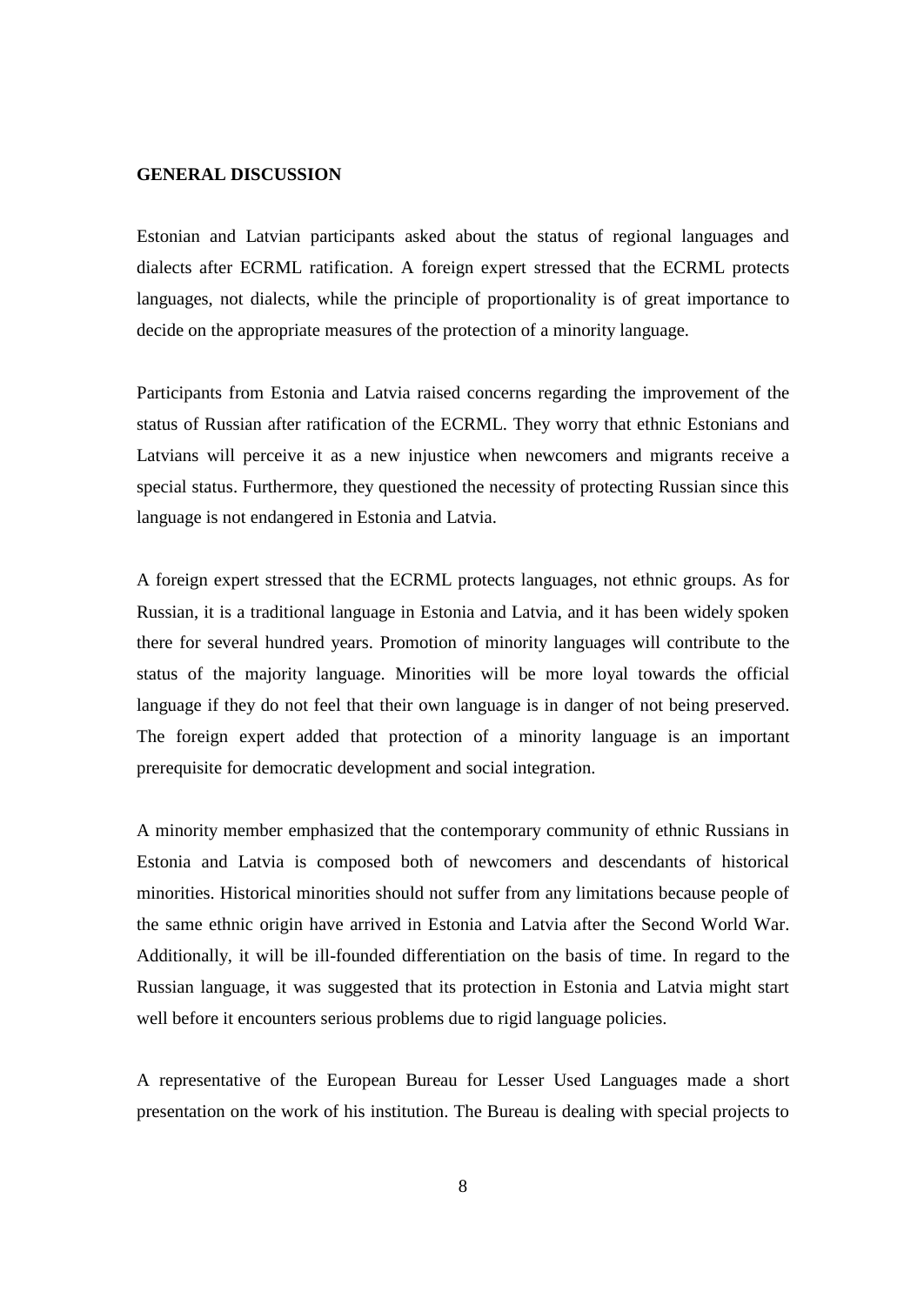#### **GENERAL DISCUSSION**

Estonian and Latvian participants asked about the status of regional languages and dialects after ECRML ratification. A foreign expert stressed that the ECRML protects languages, not dialects, while the principle of proportionality is of great importance to decide on the appropriate measures of the protection of a minority language.

Participants from Estonia and Latvia raised concerns regarding the improvement of the status of Russian after ratification of the ECRML. They worry that ethnic Estonians and Latvians will perceive it as a new injustice when newcomers and migrants receive a special status. Furthermore, they questioned the necessity of protecting Russian since this language is not endangered in Estonia and Latvia.

A foreign expert stressed that the ECRML protects languages, not ethnic groups. As for Russian, it is a traditional language in Estonia and Latvia, and it has been widely spoken there for several hundred years. Promotion of minority languages will contribute to the status of the majority language. Minorities will be more loyal towards the official language if they do not feel that their own language is in danger of not being preserved. The foreign expert added that protection of a minority language is an important prerequisite for democratic development and social integration.

A minority member emphasized that the contemporary community of ethnic Russians in Estonia and Latvia is composed both of newcomers and descendants of historical minorities. Historical minorities should not suffer from any limitations because people of the same ethnic origin have arrived in Estonia and Latvia after the Second World War. Additionally, it will be ill-founded differentiation on the basis of time. In regard to the Russian language, it was suggested that its protection in Estonia and Latvia might start well before it encounters serious problems due to rigid language policies.

A representative of the European Bureau for Lesser Used Languages made a short presentation on the work of his institution. The Bureau is dealing with special projects to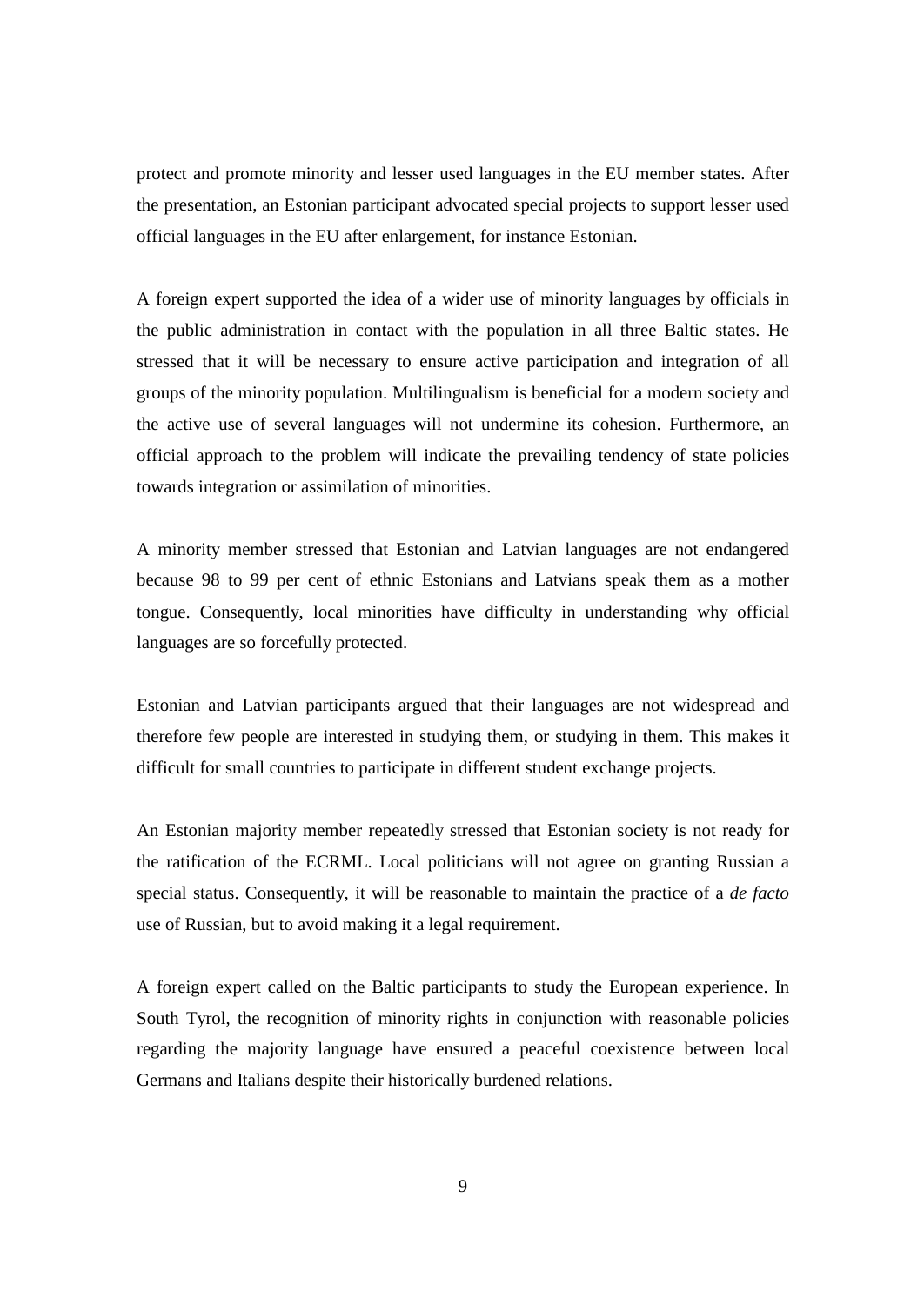protect and promote minority and lesser used languages in the EU member states. After the presentation, an Estonian participant advocated special projects to support lesser used official languages in the EU after enlargement, for instance Estonian.

A foreign expert supported the idea of a wider use of minority languages by officials in the public administration in contact with the population in all three Baltic states. He stressed that it will be necessary to ensure active participation and integration of all groups of the minority population. Multilingualism is beneficial for a modern society and the active use of several languages will not undermine its cohesion. Furthermore, an official approach to the problem will indicate the prevailing tendency of state policies towards integration or assimilation of minorities.

A minority member stressed that Estonian and Latvian languages are not endangered because 98 to 99 per cent of ethnic Estonians and Latvians speak them as a mother tongue. Consequently, local minorities have difficulty in understanding why official languages are so forcefully protected.

Estonian and Latvian participants argued that their languages are not widespread and therefore few people are interested in studying them, or studying in them. This makes it difficult for small countries to participate in different student exchange projects.

An Estonian majority member repeatedly stressed that Estonian society is not ready for the ratification of the ECRML. Local politicians will not agree on granting Russian a special status. Consequently, it will be reasonable to maintain the practice of a *de facto* use of Russian, but to avoid making it a legal requirement.

A foreign expert called on the Baltic participants to study the European experience. In South Tyrol, the recognition of minority rights in conjunction with reasonable policies regarding the majority language have ensured a peaceful coexistence between local Germans and Italians despite their historically burdened relations.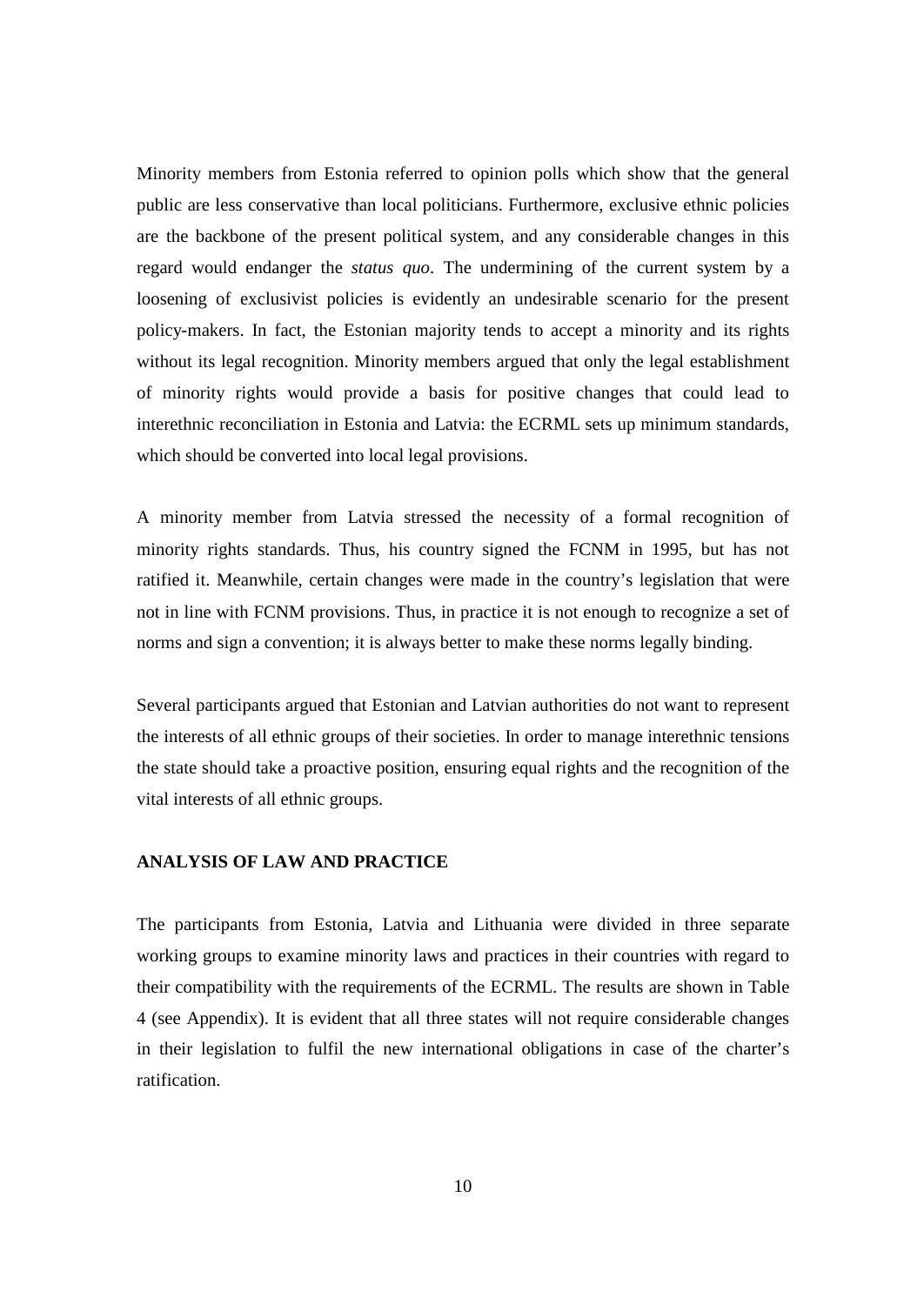Minority members from Estonia referred to opinion polls which show that the general public are less conservative than local politicians. Furthermore, exclusive ethnic policies are the backbone of the present political system, and any considerable changes in this regard would endanger the *status quo*. The undermining of the current system by a loosening of exclusivist policies is evidently an undesirable scenario for the present policy-makers. In fact, the Estonian majority tends to accept a minority and its rights without its legal recognition. Minority members argued that only the legal establishment of minority rights would provide a basis for positive changes that could lead to interethnic reconciliation in Estonia and Latvia: the ECRML sets up minimum standards, which should be converted into local legal provisions.

A minority member from Latvia stressed the necessity of a formal recognition of minority rights standards. Thus, his country signed the FCNM in 1995, but has not ratified it. Meanwhile, certain changes were made in the country's legislation that were not in line with FCNM provisions. Thus, in practice it is not enough to recognize a set of norms and sign a convention; it is always better to make these norms legally binding.

Several participants argued that Estonian and Latvian authorities do not want to represent the interests of all ethnic groups of their societies. In order to manage interethnic tensions the state should take a proactive position, ensuring equal rights and the recognition of the vital interests of all ethnic groups.

## **ANALYSIS OF LAW AND PRACTICE**

The participants from Estonia, Latvia and Lithuania were divided in three separate working groups to examine minority laws and practices in their countries with regard to their compatibility with the requirements of the ECRML. The results are shown in Table 4 (see Appendix). It is evident that all three states will not require considerable changes in their legislation to fulfil the new international obligations in case of the charter's ratification.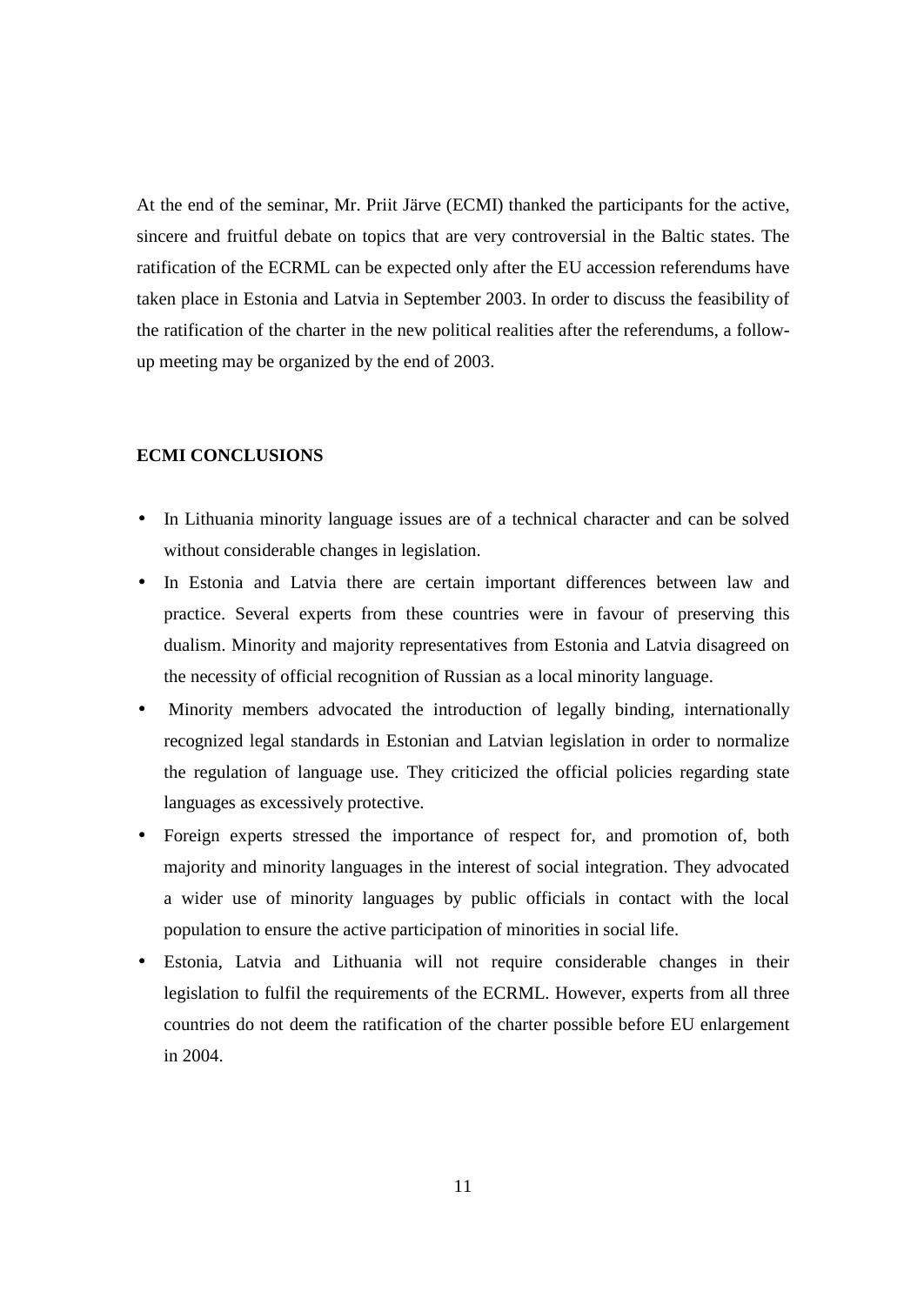At the end of the seminar, Mr. Priit Järve (ECMI) thanked the participants for the active, sincere and fruitful debate on topics that are very controversial in the Baltic states. The ratification of the ECRML can be expected only after the EU accession referendums have taken place in Estonia and Latvia in September 2003. In order to discuss the feasibility of the ratification of the charter in the new political realities after the referendums, a followup meeting may be organized by the end of 2003.

## **ECMI CONCLUSIONS**

- In Lithuania minority language issues are of a technical character and can be solved without considerable changes in legislation.
- In Estonia and Latvia there are certain important differences between law and practice. Several experts from these countries were in favour of preserving this dualism. Minority and majority representatives from Estonia and Latvia disagreed on the necessity of official recognition of Russian as a local minority language.
- Minority members advocated the introduction of legally binding, internationally recognized legal standards in Estonian and Latvian legislation in order to normalize the regulation of language use. They criticized the official policies regarding state languages as excessively protective.
- Foreign experts stressed the importance of respect for, and promotion of, both majority and minority languages in the interest of social integration. They advocated a wider use of minority languages by public officials in contact with the local population to ensure the active participation of minorities in social life.
- Estonia, Latvia and Lithuania will not require considerable changes in their legislation to fulfil the requirements of the ECRML. However, experts from all three countries do not deem the ratification of the charter possible before EU enlargement in 2004.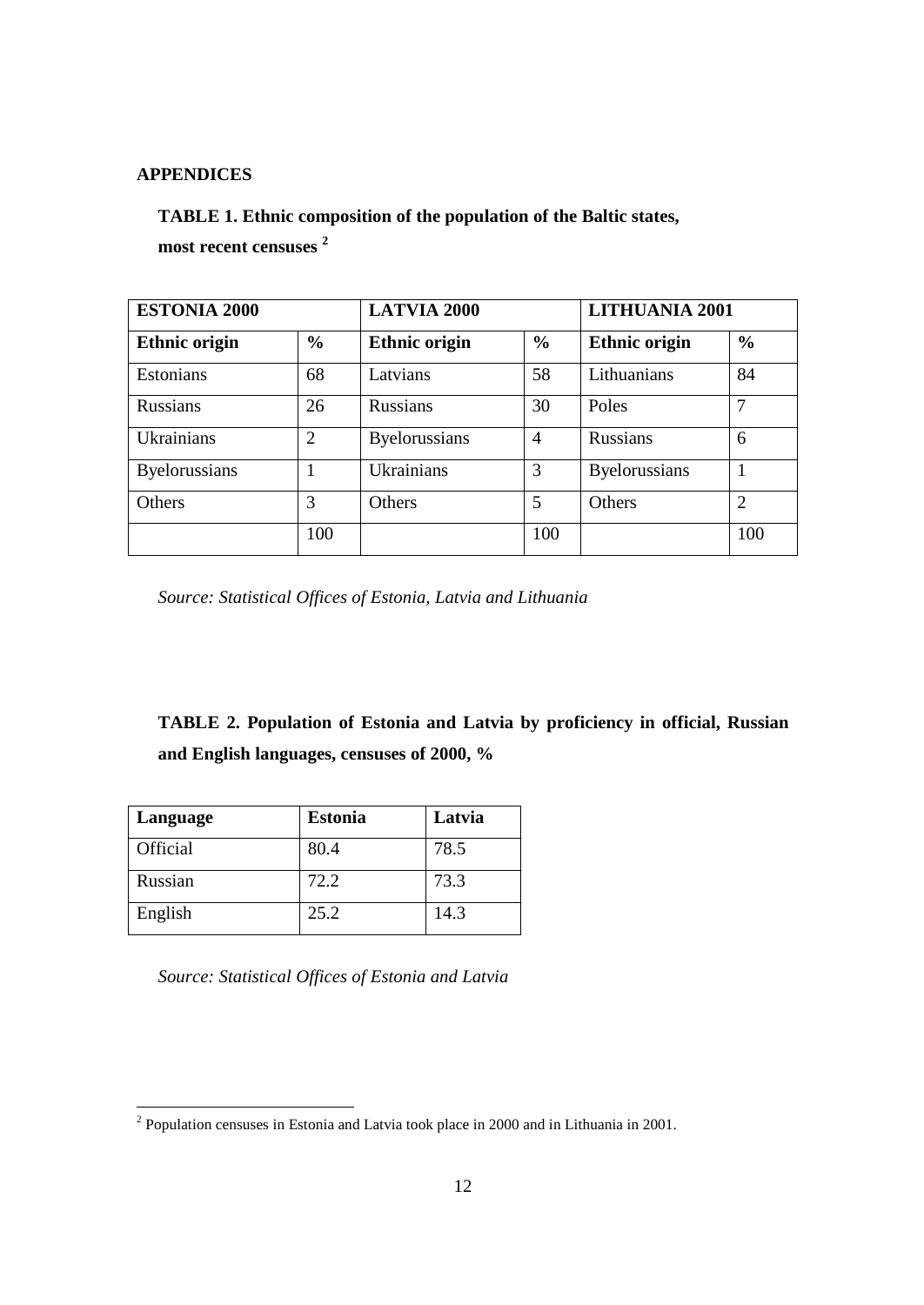## **APPENDICES**

## **TABLE 1. Ethnic composition of the population of the Baltic states,**

**most recent censuses <sup>2</sup>**

| <b>ESTONIA 2000</b>  |                | <b>LATVIA 2000</b>   |                | <b>LITHUANIA 2001</b> |                |
|----------------------|----------------|----------------------|----------------|-----------------------|----------------|
| <b>Ethnic origin</b> | $\frac{0}{0}$  | <b>Ethnic origin</b> | $\frac{6}{6}$  | <b>Ethnic origin</b>  | $\frac{0}{0}$  |
| Estonians            | 68             | Latvians             | 58             | Lithuanians           | 84             |
| <b>Russians</b>      | 26             | <b>Russians</b>      | 30             | Poles                 | 7              |
| Ukrainians           | $\overline{2}$ | <b>Byelorussians</b> | $\overline{4}$ | <b>Russians</b>       | 6              |
| <b>Byelorussians</b> |                | <b>Ukrainians</b>    | 3              | <b>Byelorussians</b>  |                |
| Others               | 3              | Others               | 5              | Others                | $\overline{2}$ |
|                      | 100            |                      | 100            |                       | 100            |

*Source: Statistical Offices of Estonia, Latvia and Lithuania* 

**TABLE 2. Population of Estonia and Latvia by proficiency in official, Russian and English languages, censuses of 2000, %** 

| Language | <b>Estonia</b> | Latvia |
|----------|----------------|--------|
| Official | 80.4           | 78.5   |
| Russian  | 72.2           | 73.3   |
| English  | 25.2           | 14.3   |

*Source: Statistical Offices of Estonia and Latvia* 

Population censuses in Estonia and Latvia took place in 2000 and in Lithuania in 2001.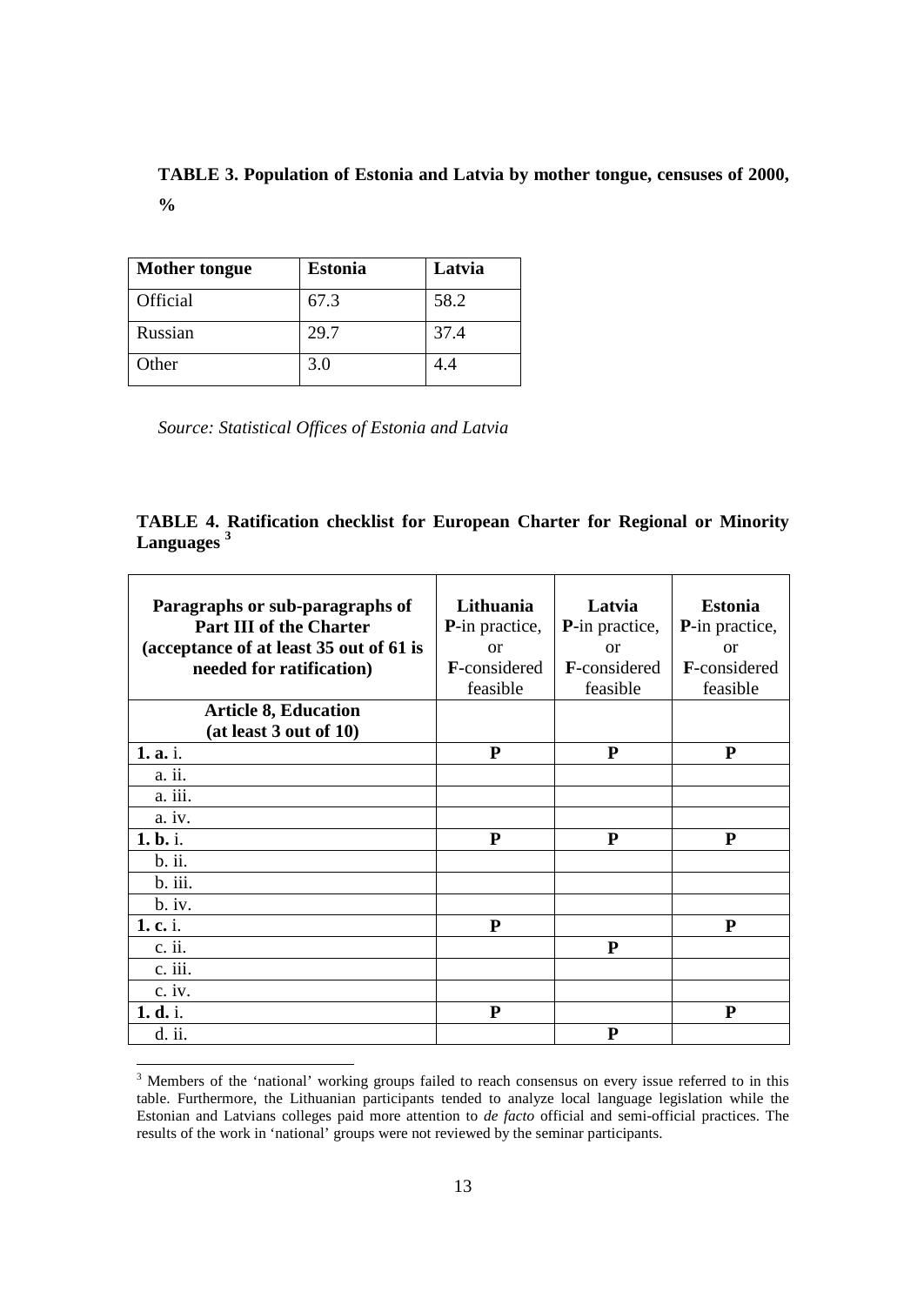**TABLE 3. Population of Estonia and Latvia by mother tongue, censuses of 2000, %** 

| <b>Mother tongue</b> | <b>Estonia</b> | Latvia |
|----------------------|----------------|--------|
| Official             | 67.3           | 58.2   |
| Russian              | 29.7           | 37.4   |
| Other                | 3.0            | 44     |

*Source: Statistical Offices of Estonia and Latvia* 

 $\overline{a}$ 

## **TABLE 4. Ratification checklist for European Charter for Regional or Minority Languages <sup>3</sup>**

| Paragraphs or sub-paragraphs of<br><b>Part III of the Charter</b><br>(acceptance of at least 35 out of 61 is<br>needed for ratification) | Lithuania<br>P-in practice,<br><sub>or</sub><br>F-considered<br>feasible | Latvia<br>P-in practice,<br>$\alpha$<br>F-considered<br>feasible | <b>Estonia</b><br><b>P</b> -in practice,<br><sub>or</sub><br>F-considered<br>feasible |
|------------------------------------------------------------------------------------------------------------------------------------------|--------------------------------------------------------------------------|------------------------------------------------------------------|---------------------------------------------------------------------------------------|
| <b>Article 8, Education</b><br>(at least 3 out of 10)                                                                                    |                                                                          |                                                                  |                                                                                       |
| 1. a. i.                                                                                                                                 | P                                                                        | P                                                                | P                                                                                     |
| a. ii.                                                                                                                                   |                                                                          |                                                                  |                                                                                       |
| a. iii.                                                                                                                                  |                                                                          |                                                                  |                                                                                       |
| a. iv.                                                                                                                                   |                                                                          |                                                                  |                                                                                       |
| 1. b. i.                                                                                                                                 | P                                                                        | P                                                                | P                                                                                     |
| b. ii.                                                                                                                                   |                                                                          |                                                                  |                                                                                       |
| b. iii.                                                                                                                                  |                                                                          |                                                                  |                                                                                       |
| $b.$ iv.                                                                                                                                 |                                                                          |                                                                  |                                                                                       |
| 1. c. i.                                                                                                                                 | P                                                                        |                                                                  | P                                                                                     |
| c. ii.                                                                                                                                   |                                                                          | P                                                                |                                                                                       |
| c. iii.                                                                                                                                  |                                                                          |                                                                  |                                                                                       |
| $c.$ iv.                                                                                                                                 |                                                                          |                                                                  |                                                                                       |
| 1. d. i.                                                                                                                                 | P                                                                        |                                                                  | P                                                                                     |
| d. ii.                                                                                                                                   |                                                                          | P                                                                |                                                                                       |

 $3$  Members of the 'national' working groups failed to reach consensus on every issue referred to in this table. Furthermore, the Lithuanian participants tended to analyze local language legislation while the Estonian and Latvians colleges paid more attention to *de facto* official and semi-official practices. The results of the work in 'national' groups were not reviewed by the seminar participants.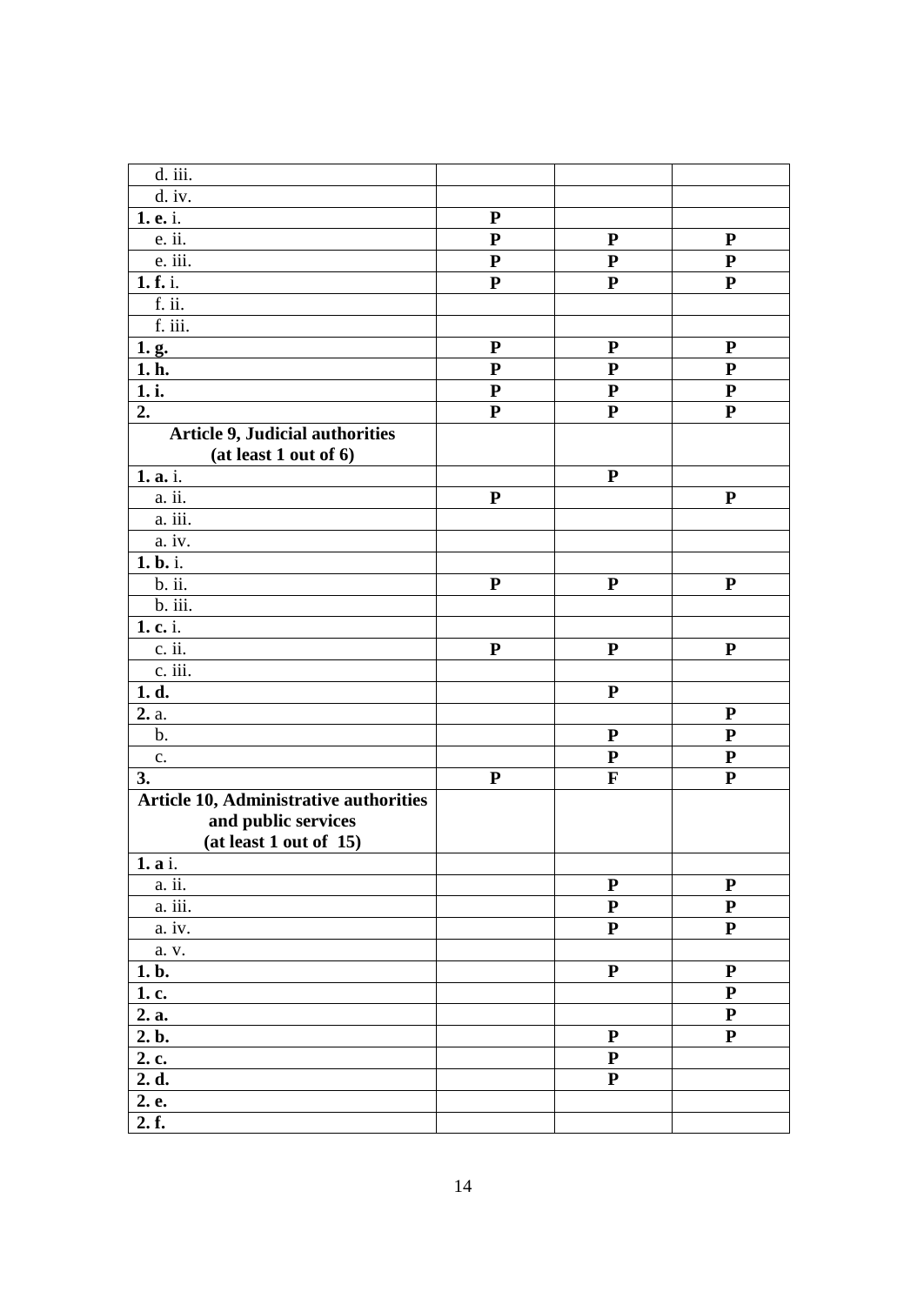| d. iii.                                |           |             |              |
|----------------------------------------|-----------|-------------|--------------|
| d. iv.                                 |           |             |              |
| 1. e. i.                               | ${\bf P}$ |             |              |
| e. ii.                                 | ${\bf P}$ | ${\bf P}$   | ${\bf P}$    |
| e. iii.                                | ${\bf P}$ | ${\bf P}$   | ${\bf P}$    |
| 1. f. i.                               | ${\bf P}$ | ${\bf P}$   | ${\bf P}$    |
| f. ii.                                 |           |             |              |
| f. iii.                                |           |             |              |
| 1. g.                                  | ${\bf P}$ | ${\bf P}$   | ${\bf P}$    |
| 1. h.                                  | ${\bf P}$ | ${\bf P}$   | ${\bf P}$    |
| 1. i.                                  | ${\bf P}$ | ${\bf P}$   | ${\bf P}$    |
| 2.                                     | ${\bf P}$ | ${\bf P}$   | ${\bf P}$    |
| <b>Article 9, Judicial authorities</b> |           |             |              |
| (at least 1 out of 6)                  |           |             |              |
| 1. a. i.                               |           | ${\bf P}$   |              |
| a. ii.                                 | ${\bf P}$ |             | ${\bf P}$    |
| a. iii.                                |           |             |              |
| a. iv.                                 |           |             |              |
| 1. b. i.                               |           |             |              |
| b. ii.                                 | ${\bf P}$ | ${\bf P}$   | ${\bf P}$    |
| b. iii.                                |           |             |              |
| 1. c. i.                               |           |             |              |
| c. ii.                                 | ${\bf P}$ | ${\bf P}$   | ${\bf P}$    |
| c. iii.                                |           |             |              |
| 1. d.                                  |           | ${\bf P}$   |              |
| 2. a.                                  |           |             | ${\bf P}$    |
| b.                                     |           | ${\bf P}$   | ${\bf P}$    |
| $\mathbf{c}$ .                         |           | ${\bf P}$   | ${\bf P}$    |
| 3.                                     | ${\bf P}$ | $\mathbf F$ | ${\bf P}$    |
| Article 10, Administrative authorities |           |             |              |
| and public services                    |           |             |              |
| (at least 1 out of 15)                 |           |             |              |
| $\overline{1. a i.}$                   |           |             |              |
| a. ii.                                 |           | ${\bf P}$   | $\mathbf{P}$ |
| a. iii.                                |           | ${\bf P}$   | ${\bf P}$    |
| a. iv.                                 |           | ${\bf P}$   | ${\bf P}$    |
| a. v.                                  |           |             |              |
| 1. b.                                  |           | ${\bf P}$   | ${\bf P}$    |
| 1. c.                                  |           |             | ${\bf P}$    |
| 2. a.                                  |           |             | ${\bf P}$    |
| 2.b.                                   |           | $\mathbf P$ | ${\bf P}$    |
| 2. c.                                  |           | ${\bf P}$   |              |
| 2. d.                                  |           | ${\bf P}$   |              |
| 2. e.                                  |           |             |              |
| 2. f.                                  |           |             |              |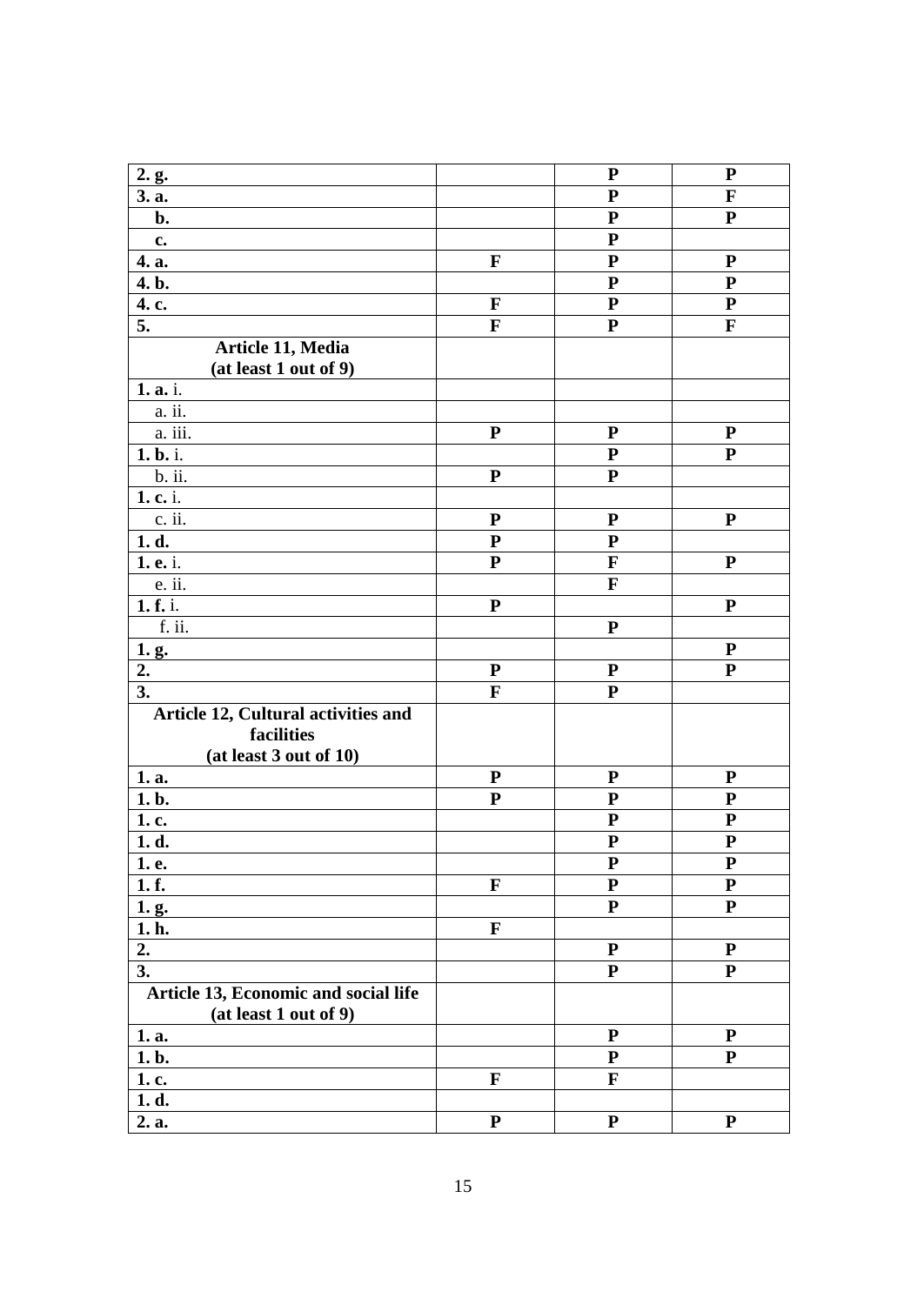| 2. g.                                |              | ${\bf P}$    | ${\bf P}$              |
|--------------------------------------|--------------|--------------|------------------------|
| 3. a.                                |              | ${\bf P}$    | $\mathbf F$            |
| b.                                   |              | ${\bf P}$    | ${\bf P}$              |
| c.                                   |              | ${\bf P}$    |                        |
| 4. a.                                | $\mathbf{F}$ | ${\bf P}$    | ${\bf P}$              |
| 4.b.                                 |              | ${\bf P}$    | ${\bf P}$              |
| 4. c.                                | F            | ${\bf P}$    | P                      |
| 5.                                   | $\mathbf F$  | ${\bf P}$    | $\mathbf F$            |
| Article 11, Media                    |              |              |                        |
| (at least 1 out of 9)                |              |              |                        |
| 1. a. i.                             |              |              |                        |
| a. ii.                               |              |              |                        |
| a. iii.                              | ${\bf P}$    | ${\bf P}$    | ${\bf P}$              |
| 1. b. i.                             |              | ${\bf P}$    | ${\bf P}$              |
| b. ii.                               | ${\bf P}$    | ${\bf P}$    |                        |
| 1. c. i.                             |              |              |                        |
| c. ii.                               | ${\bf P}$    | ${\bf P}$    | ${\bf P}$              |
| 1. d.                                | ${\bf P}$    | $\mathbf{P}$ |                        |
| 1. e. i.                             | ${\bf P}$    | $\mathbf F$  | ${\bf P}$              |
| e. ii.                               |              | $\mathbf F$  |                        |
| 1. f. i.                             |              |              | ${\bf P}$              |
| f. ii.                               | ${\bf P}$    | ${\bf P}$    |                        |
|                                      |              |              |                        |
| 1.g.                                 |              |              | ${\bf P}$<br>${\bf P}$ |
| 2.                                   | ${\bf P}$    | ${\bf P}$    |                        |
| $\overline{3}$ .                     | $\mathbf F$  | ${\bf P}$    |                        |
| Article 12, Cultural activities and  |              |              |                        |
| facilities                           |              |              |                        |
| (at least 3 out of 10)               |              |              |                        |
| 1. a.                                | ${\bf P}$    | ${\bf P}$    | ${\bf P}$              |
| 1. b.                                | ${\bf P}$    | ${\bf P}$    | ${\bf P}$              |
| 1. c.                                |              | ${\bf P}$    | ${\bf P}$              |
| 1. d.                                |              | ${\bf P}$    | ${\bf P}$              |
| 1. e.                                |              | P            | ${\bf P}$              |
| 1. f.                                | $\mathbf{F}$ | ${\bf P}$    | ${\bf P}$              |
| 1.g.                                 |              | ${\bf P}$    | $\mathbf{P}$           |
| 1. h.                                | $\mathbf F$  |              |                        |
| 2.                                   |              | ${\bf P}$    | ${\bf P}$              |
| $\overline{3}$ .                     |              | ${\bf P}$    | ${\bf P}$              |
| Article 13, Economic and social life |              |              |                        |
| (at least 1 out of 9)                |              |              |                        |
| 1. a.                                |              | ${\bf P}$    | ${\bf P}$              |
| 1. b.                                |              | ${\bf P}$    | ${\bf P}$              |
| 1. c.                                | $\mathbf{F}$ | $\mathbf{F}$ |                        |
| 1. d.                                |              |              |                        |
| 2. a.                                | ${\bf P}$    | ${\bf P}$    | ${\bf P}$              |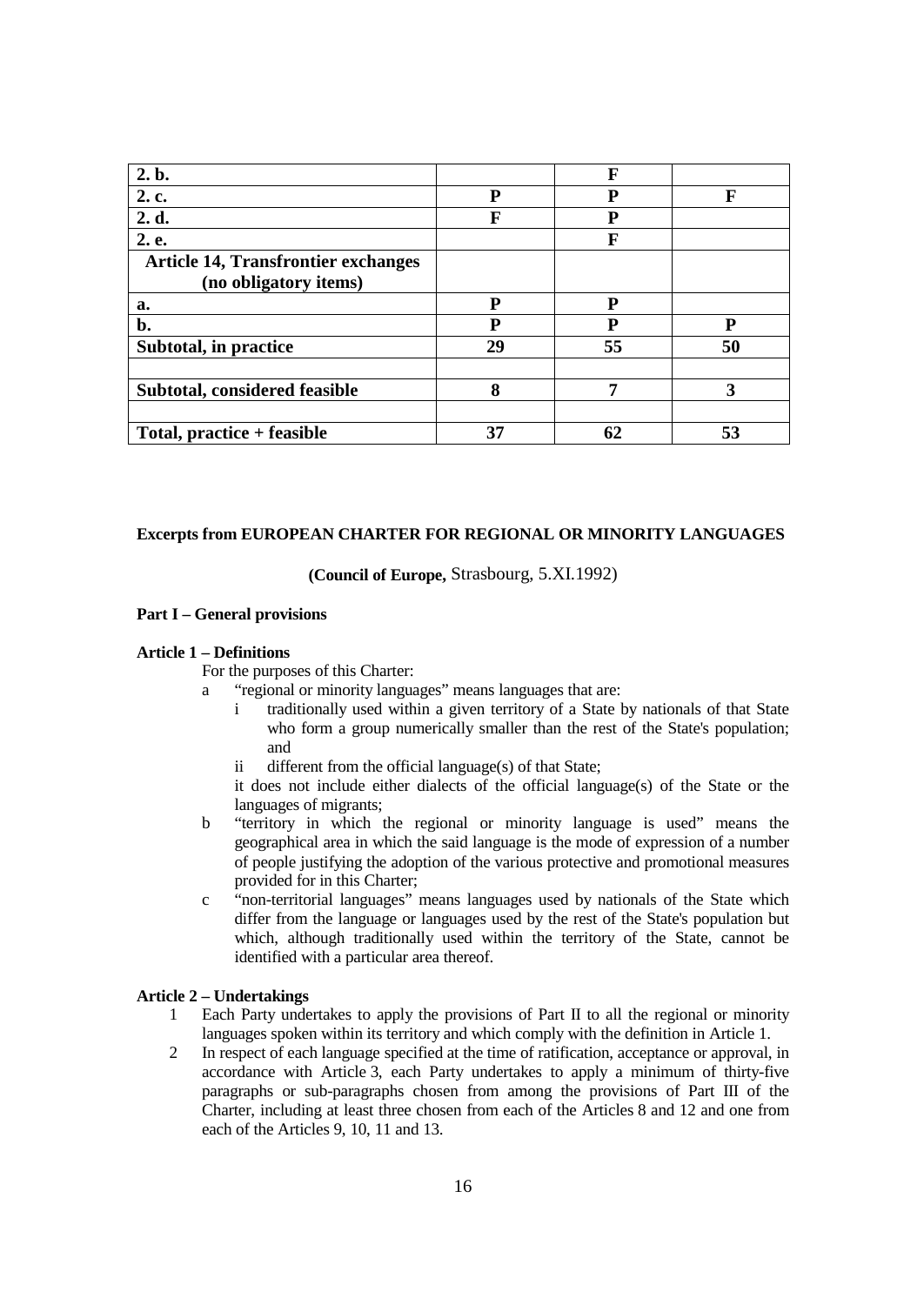| 2. b.                                      |    | F  |    |
|--------------------------------------------|----|----|----|
| 2. c.                                      | P  | P  | F  |
| 2. d.                                      | F  | P  |    |
| 2. e.                                      |    | F  |    |
| <b>Article 14, Transfrontier exchanges</b> |    |    |    |
| (no obligatory items)                      |    |    |    |
| a.                                         | P  | P  |    |
| b.                                         | P  | P  | P  |
| Subtotal, in practice                      | 29 | 55 | 50 |
|                                            |    |    |    |
| Subtotal, considered feasible              | 8  | 7  | 3  |
|                                            |    |    |    |
| Total, practice + feasible                 | 37 | 62 | 53 |

## **Excerpts from EUROPEAN CHARTER FOR REGIONAL OR MINORITY LANGUAGES**

#### **(Council of Europe,** Strasbourg, 5.XI.1992)

#### **Part I – General provisions**

#### **Article 1 – Definitions**

For the purposes of this Charter:

- a "regional or minority languages" means languages that are:
	- i traditionally used within a given territory of a State by nationals of that State who form a group numerically smaller than the rest of the State's population; and
	- ii different from the official language(s) of that State;

 it does not include either dialects of the official language(s) of the State or the languages of migrants;

- b "territory in which the regional or minority language is used" means the geographical area in which the said language is the mode of expression of a number of people justifying the adoption of the various protective and promotional measures provided for in this Charter;
- c "non-territorial languages" means languages used by nationals of the State which differ from the language or languages used by the rest of the State's population but which, although traditionally used within the territory of the State, cannot be identified with a particular area thereof.

#### **Article 2 – Undertakings**

- 1 Each Party undertakes to apply the provisions of Part II to all the regional or minority languages spoken within its territory and which comply with the definition in Article 1.
- 2 In respect of each language specified at the time of ratification, acceptance or approval, in accordance with Article 3, each Party undertakes to apply a minimum of thirty-five paragraphs or sub-paragraphs chosen from among the provisions of Part III of the Charter, including at least three chosen from each of the Articles 8 and 12 and one from each of the Articles 9, 10, 11 and 13.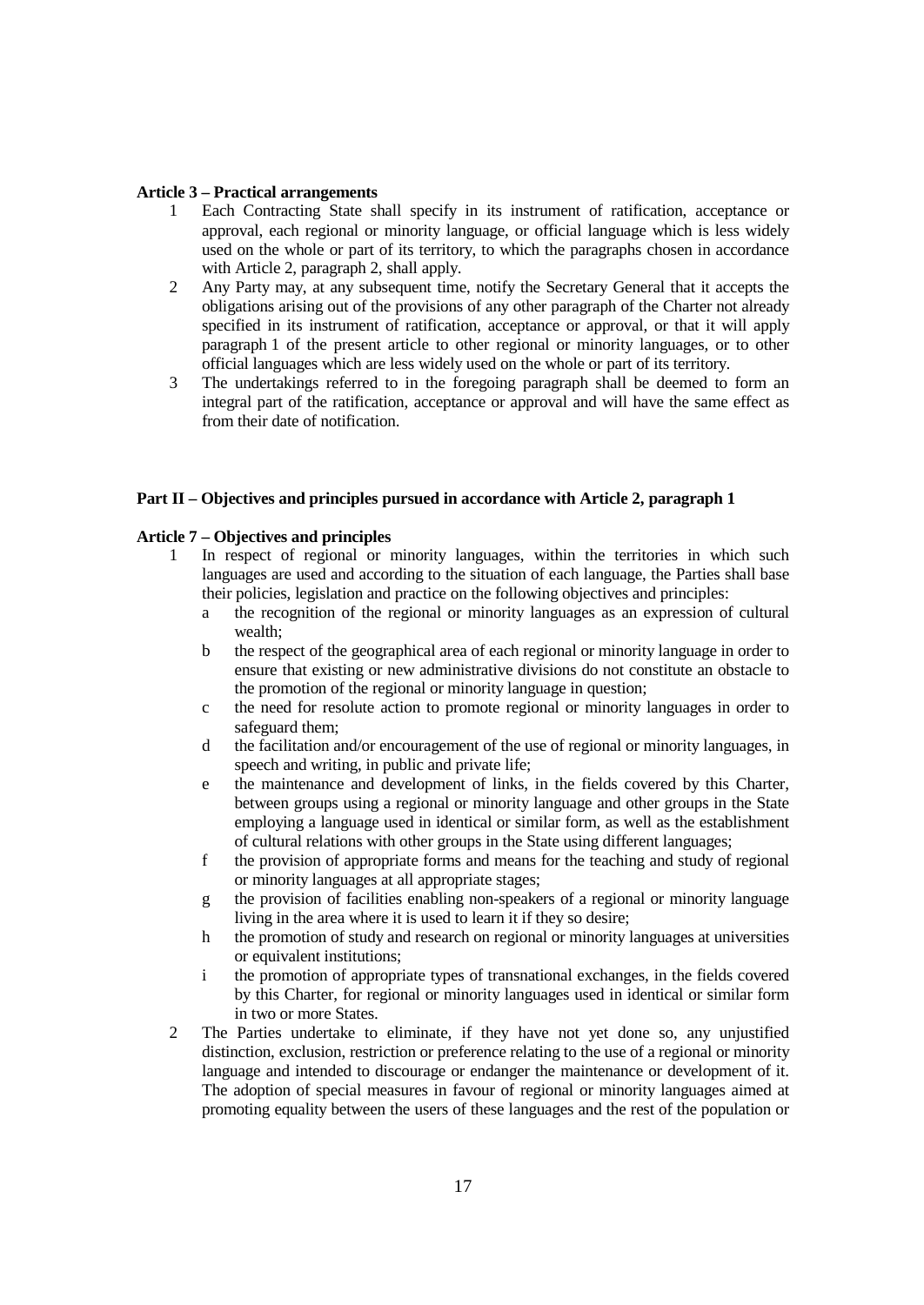#### **Article 3 – Practical arrangements**

- 1 Each Contracting State shall specify in its instrument of ratification, acceptance or approval, each regional or minority language, or official language which is less widely used on the whole or part of its territory, to which the paragraphs chosen in accordance with Article 2, paragraph 2, shall apply.
- 2 Any Party may, at any subsequent time, notify the Secretary General that it accepts the obligations arising out of the provisions of any other paragraph of the Charter not already specified in its instrument of ratification, acceptance or approval, or that it will apply paragraph 1 of the present article to other regional or minority languages, or to other official languages which are less widely used on the whole or part of its territory.
- 3 The undertakings referred to in the foregoing paragraph shall be deemed to form an integral part of the ratification, acceptance or approval and will have the same effect as from their date of notification.

## **Part II – Objectives and principles pursued in accordance with Article 2, paragraph 1**

#### **Article 7 – Objectives and principles**

- 1 In respect of regional or minority languages, within the territories in which such languages are used and according to the situation of each language, the Parties shall base their policies, legislation and practice on the following objectives and principles:
	- a the recognition of the regional or minority languages as an expression of cultural wealth;
	- b the respect of the geographical area of each regional or minority language in order to ensure that existing or new administrative divisions do not constitute an obstacle to the promotion of the regional or minority language in question;
	- c the need for resolute action to promote regional or minority languages in order to safeguard them;
	- d the facilitation and/or encouragement of the use of regional or minority languages, in speech and writing, in public and private life;
	- e the maintenance and development of links, in the fields covered by this Charter, between groups using a regional or minority language and other groups in the State employing a language used in identical or similar form, as well as the establishment of cultural relations with other groups in the State using different languages;
	- f the provision of appropriate forms and means for the teaching and study of regional or minority languages at all appropriate stages;
	- g the provision of facilities enabling non-speakers of a regional or minority language living in the area where it is used to learn it if they so desire;
	- h the promotion of study and research on regional or minority languages at universities or equivalent institutions;
	- i the promotion of appropriate types of transnational exchanges, in the fields covered by this Charter, for regional or minority languages used in identical or similar form in two or more States.
- 2 The Parties undertake to eliminate, if they have not yet done so, any unjustified distinction, exclusion, restriction or preference relating to the use of a regional or minority language and intended to discourage or endanger the maintenance or development of it. The adoption of special measures in favour of regional or minority languages aimed at promoting equality between the users of these languages and the rest of the population or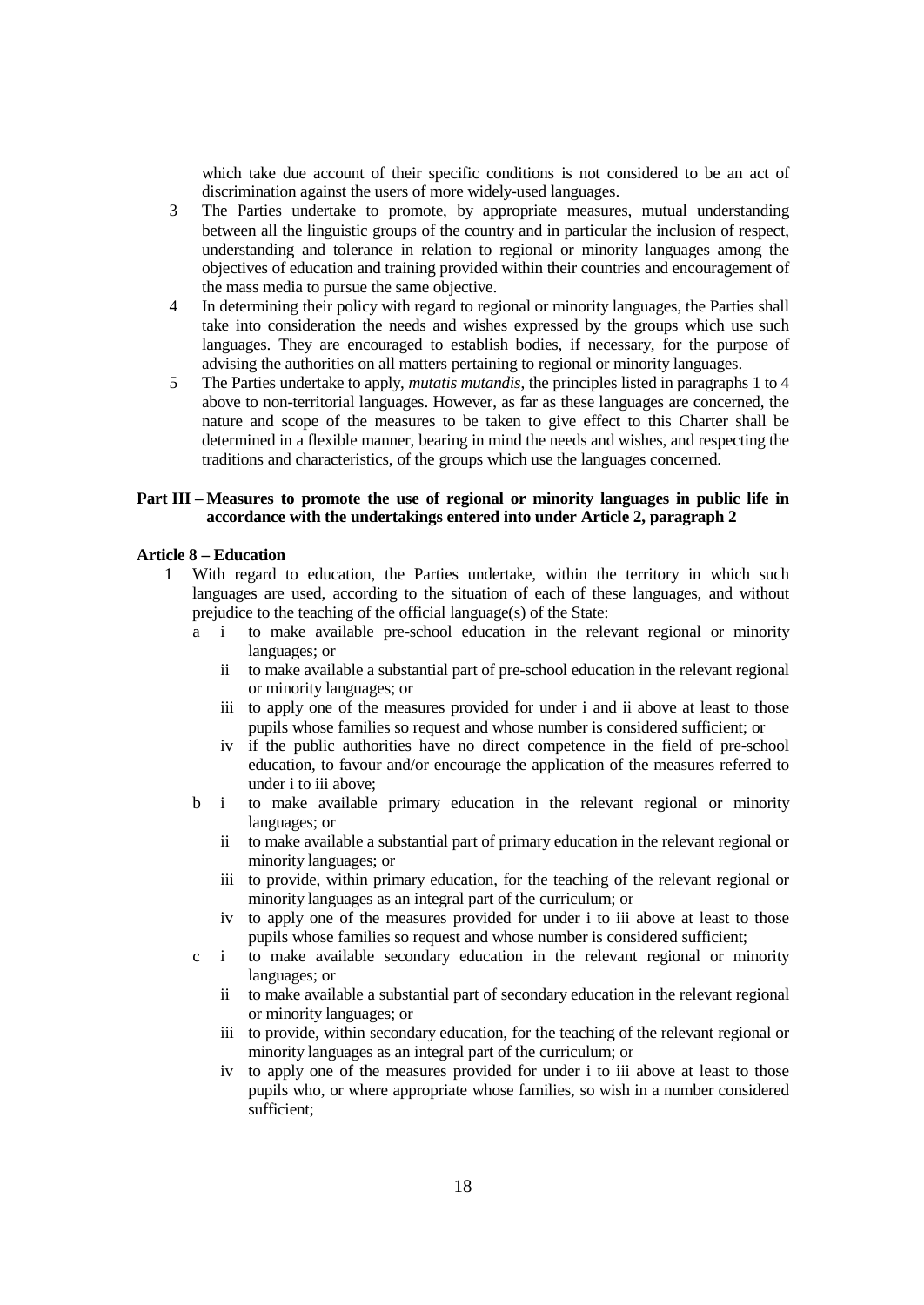which take due account of their specific conditions is not considered to be an act of discrimination against the users of more widely-used languages.

- 3 The Parties undertake to promote, by appropriate measures, mutual understanding between all the linguistic groups of the country and in particular the inclusion of respect, understanding and tolerance in relation to regional or minority languages among the objectives of education and training provided within their countries and encouragement of the mass media to pursue the same objective.
- 4 In determining their policy with regard to regional or minority languages, the Parties shall take into consideration the needs and wishes expressed by the groups which use such languages. They are encouraged to establish bodies, if necessary, for the purpose of advising the authorities on all matters pertaining to regional or minority languages.
- 5 The Parties undertake to apply, *mutatis mutandis*, the principles listed in paragraphs 1 to 4 above to non-territorial languages. However, as far as these languages are concerned, the nature and scope of the measures to be taken to give effect to this Charter shall be determined in a flexible manner, bearing in mind the needs and wishes, and respecting the traditions and characteristics, of the groups which use the languages concerned.

### **Part III – Measures to promote the use of regional or minority languages in public life in accordance with the undertakings entered into under Article 2, paragraph 2**

#### **Article 8 – Education**

- 1 With regard to education, the Parties undertake, within the territory in which such languages are used, according to the situation of each of these languages, and without prejudice to the teaching of the official language(s) of the State:
	- a i to make available pre-school education in the relevant regional or minority languages; or
		- ii to make available a substantial part of pre-school education in the relevant regional or minority languages; or
		- iii to apply one of the measures provided for under i and ii above at least to those pupils whose families so request and whose number is considered sufficient; or
		- iv if the public authorities have no direct competence in the field of pre-school education, to favour and/or encourage the application of the measures referred to under i to iii above;
	- b i to make available primary education in the relevant regional or minority languages; or
		- ii to make available a substantial part of primary education in the relevant regional or minority languages; or
		- iii to provide, within primary education, for the teaching of the relevant regional or minority languages as an integral part of the curriculum; or
		- iv to apply one of the measures provided for under i to iii above at least to those pupils whose families so request and whose number is considered sufficient;
	- c i to make available secondary education in the relevant regional or minority languages; or
		- ii to make available a substantial part of secondary education in the relevant regional or minority languages; or
		- iii to provide, within secondary education, for the teaching of the relevant regional or minority languages as an integral part of the curriculum; or
		- iv to apply one of the measures provided for under i to iii above at least to those pupils who, or where appropriate whose families, so wish in a number considered sufficient;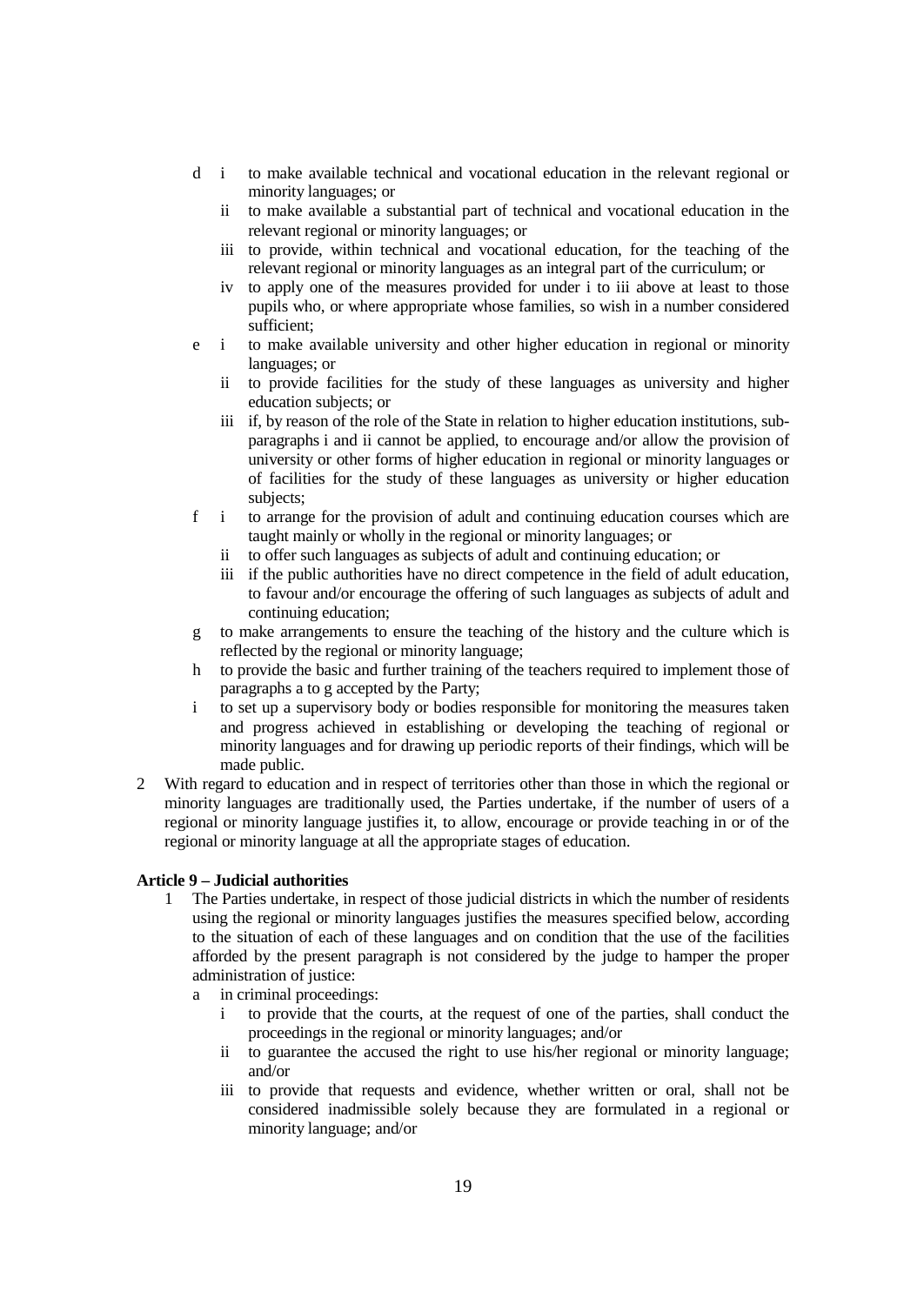- d i to make available technical and vocational education in the relevant regional or minority languages; or
	- ii to make available a substantial part of technical and vocational education in the relevant regional or minority languages; or
	- iii to provide, within technical and vocational education, for the teaching of the relevant regional or minority languages as an integral part of the curriculum; or
	- iv to apply one of the measures provided for under i to iii above at least to those pupils who, or where appropriate whose families, so wish in a number considered sufficient;
- e i to make available university and other higher education in regional or minority languages; or
	- ii to provide facilities for the study of these languages as university and higher education subjects; or
	- iii if, by reason of the role of the State in relation to higher education institutions, subparagraphs i and ii cannot be applied, to encourage and/or allow the provision of university or other forms of higher education in regional or minority languages or of facilities for the study of these languages as university or higher education subjects;
- f i to arrange for the provision of adult and continuing education courses which are taught mainly or wholly in the regional or minority languages; or
	- ii to offer such languages as subjects of adult and continuing education; or
	- iii if the public authorities have no direct competence in the field of adult education, to favour and/or encourage the offering of such languages as subjects of adult and continuing education;
- g to make arrangements to ensure the teaching of the history and the culture which is reflected by the regional or minority language;
- h to provide the basic and further training of the teachers required to implement those of paragraphs a to g accepted by the Party;
- i to set up a supervisory body or bodies responsible for monitoring the measures taken and progress achieved in establishing or developing the teaching of regional or minority languages and for drawing up periodic reports of their findings, which will be made public.
- 2 With regard to education and in respect of territories other than those in which the regional or minority languages are traditionally used, the Parties undertake, if the number of users of a regional or minority language justifies it, to allow, encourage or provide teaching in or of the regional or minority language at all the appropriate stages of education.

## **Article 9 – Judicial authorities**

- 1 The Parties undertake, in respect of those judicial districts in which the number of residents using the regional or minority languages justifies the measures specified below, according to the situation of each of these languages and on condition that the use of the facilities afforded by the present paragraph is not considered by the judge to hamper the proper administration of justice:
	- a in criminal proceedings:
		- i to provide that the courts, at the request of one of the parties, shall conduct the proceedings in the regional or minority languages; and/or
		- ii to guarantee the accused the right to use his/her regional or minority language; and/or
		- iii to provide that requests and evidence, whether written or oral, shall not be considered inadmissible solely because they are formulated in a regional or minority language; and/or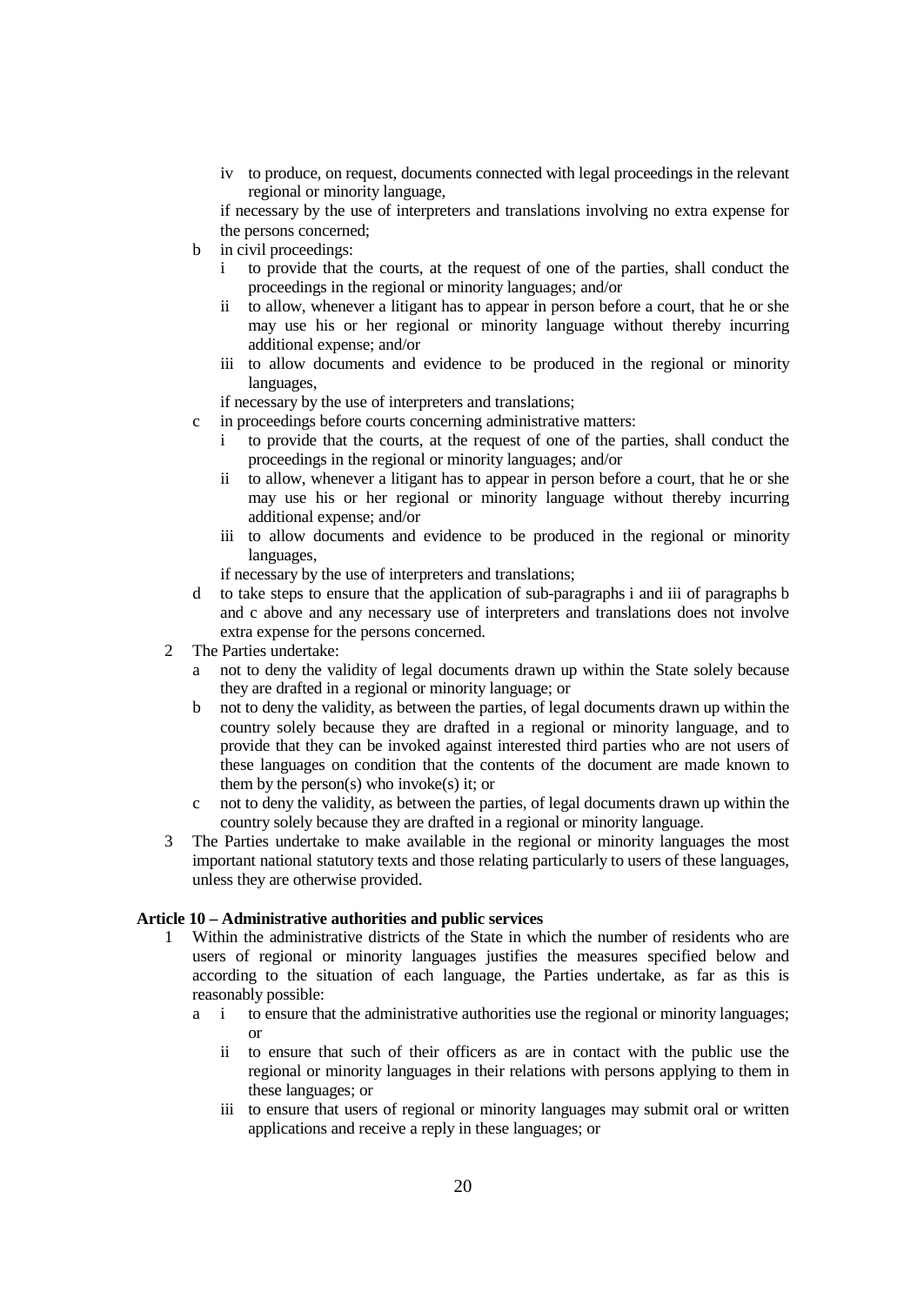iv to produce, on request, documents connected with legal proceedings in the relevant regional or minority language,

 if necessary by the use of interpreters and translations involving no extra expense for the persons concerned;

- b in civil proceedings:
	- i to provide that the courts, at the request of one of the parties, shall conduct the proceedings in the regional or minority languages; and/or
	- ii to allow, whenever a litigant has to appear in person before a court, that he or she may use his or her regional or minority language without thereby incurring additional expense; and/or
	- iii to allow documents and evidence to be produced in the regional or minority languages,

if necessary by the use of interpreters and translations;

- c in proceedings before courts concerning administrative matters:
	- i to provide that the courts, at the request of one of the parties, shall conduct the proceedings in the regional or minority languages; and/or
	- ii to allow, whenever a litigant has to appear in person before a court, that he or she may use his or her regional or minority language without thereby incurring additional expense; and/or
	- iii to allow documents and evidence to be produced in the regional or minority languages,

if necessary by the use of interpreters and translations;

- d to take steps to ensure that the application of sub-paragraphs i and iii of paragraphs b and c above and any necessary use of interpreters and translations does not involve extra expense for the persons concerned.
- 2 The Parties undertake:
	- a not to deny the validity of legal documents drawn up within the State solely because they are drafted in a regional or minority language; or
	- b not to deny the validity, as between the parties, of legal documents drawn up within the country solely because they are drafted in a regional or minority language, and to provide that they can be invoked against interested third parties who are not users of these languages on condition that the contents of the document are made known to them by the person(s) who invoke(s) it; or
	- c not to deny the validity, as between the parties, of legal documents drawn up within the country solely because they are drafted in a regional or minority language.
- 3 The Parties undertake to make available in the regional or minority languages the most important national statutory texts and those relating particularly to users of these languages, unless they are otherwise provided.

#### **Article 10 – Administrative authorities and public services**

- 1 Within the administrative districts of the State in which the number of residents who are users of regional or minority languages justifies the measures specified below and according to the situation of each language, the Parties undertake, as far as this is reasonably possible:
	- a i to ensure that the administrative authorities use the regional or minority languages; or
		- ii to ensure that such of their officers as are in contact with the public use the regional or minority languages in their relations with persons applying to them in these languages; or
		- iii to ensure that users of regional or minority languages may submit oral or written applications and receive a reply in these languages; or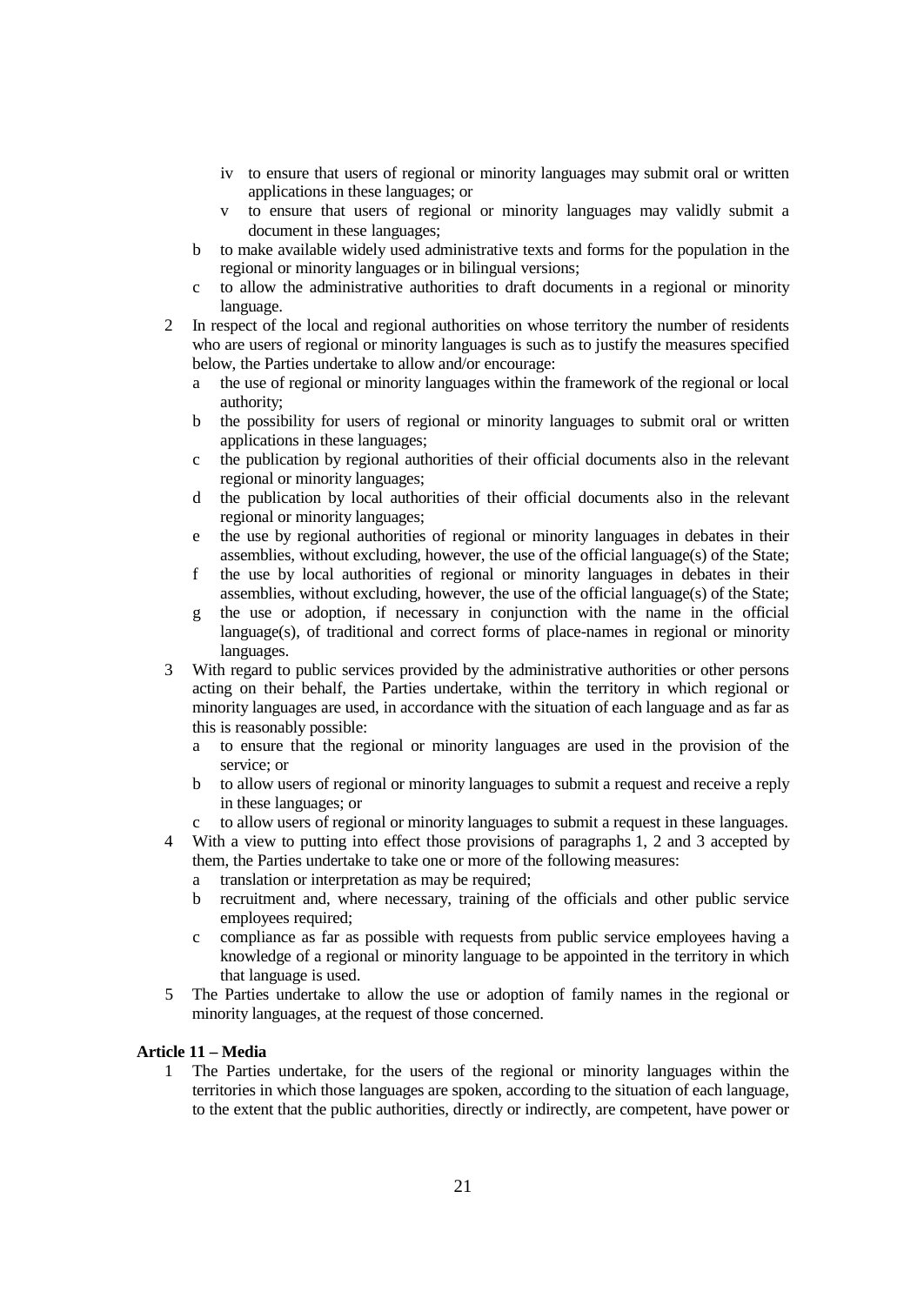- iv to ensure that users of regional or minority languages may submit oral or written applications in these languages; or
- v to ensure that users of regional or minority languages may validly submit a document in these languages;
- b to make available widely used administrative texts and forms for the population in the regional or minority languages or in bilingual versions;
- c to allow the administrative authorities to draft documents in a regional or minority language.
- 2 In respect of the local and regional authorities on whose territory the number of residents who are users of regional or minority languages is such as to justify the measures specified below, the Parties undertake to allow and/or encourage:
	- a the use of regional or minority languages within the framework of the regional or local authority;
	- b the possibility for users of regional or minority languages to submit oral or written applications in these languages;
	- c the publication by regional authorities of their official documents also in the relevant regional or minority languages;
	- d the publication by local authorities of their official documents also in the relevant regional or minority languages;
	- e the use by regional authorities of regional or minority languages in debates in their assemblies, without excluding, however, the use of the official language(s) of the State;
	- f the use by local authorities of regional or minority languages in debates in their assemblies, without excluding, however, the use of the official language(s) of the State;
	- g the use or adoption, if necessary in conjunction with the name in the official language(s), of traditional and correct forms of place-names in regional or minority languages.
- 3 With regard to public services provided by the administrative authorities or other persons acting on their behalf, the Parties undertake, within the territory in which regional or minority languages are used, in accordance with the situation of each language and as far as this is reasonably possible:
	- a to ensure that the regional or minority languages are used in the provision of the service; or
	- b to allow users of regional or minority languages to submit a request and receive a reply in these languages; or
	- c to allow users of regional or minority languages to submit a request in these languages.
- 4 With a view to putting into effect those provisions of paragraphs 1, 2 and 3 accepted by them, the Parties undertake to take one or more of the following measures:
	- a translation or interpretation as may be required;
	- b recruitment and, where necessary, training of the officials and other public service employees required;
	- c compliance as far as possible with requests from public service employees having a knowledge of a regional or minority language to be appointed in the territory in which that language is used.
- 5 The Parties undertake to allow the use or adoption of family names in the regional or minority languages, at the request of those concerned.

## **Article 11 – Media**

1 The Parties undertake, for the users of the regional or minority languages within the territories in which those languages are spoken, according to the situation of each language, to the extent that the public authorities, directly or indirectly, are competent, have power or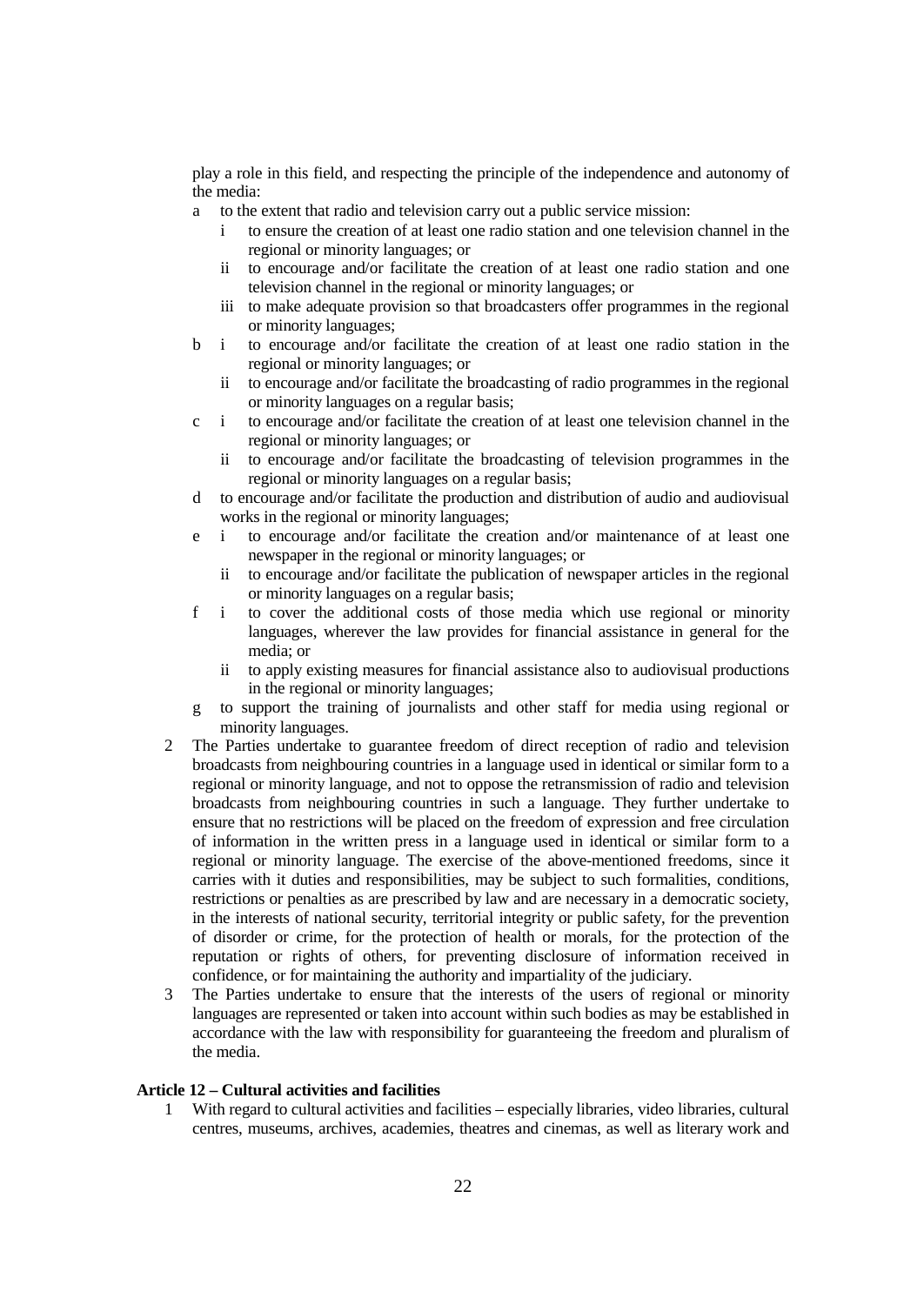play a role in this field, and respecting the principle of the independence and autonomy of the media:

- a to the extent that radio and television carry out a public service mission:
	- i to ensure the creation of at least one radio station and one television channel in the regional or minority languages; or
	- ii to encourage and/or facilitate the creation of at least one radio station and one television channel in the regional or minority languages; or
	- iii to make adequate provision so that broadcasters offer programmes in the regional or minority languages;
- b i to encourage and/or facilitate the creation of at least one radio station in the regional or minority languages; or
	- ii to encourage and/or facilitate the broadcasting of radio programmes in the regional or minority languages on a regular basis;
- c i to encourage and/or facilitate the creation of at least one television channel in the regional or minority languages; or
	- ii to encourage and/or facilitate the broadcasting of television programmes in the regional or minority languages on a regular basis;
- d to encourage and/or facilitate the production and distribution of audio and audiovisual works in the regional or minority languages;
- e i to encourage and/or facilitate the creation and/or maintenance of at least one newspaper in the regional or minority languages; or
	- ii to encourage and/or facilitate the publication of newspaper articles in the regional or minority languages on a regular basis;
- f i to cover the additional costs of those media which use regional or minority languages, wherever the law provides for financial assistance in general for the media; or
	- ii to apply existing measures for financial assistance also to audiovisual productions in the regional or minority languages;
- g to support the training of journalists and other staff for media using regional or minority languages.
- 2 The Parties undertake to guarantee freedom of direct reception of radio and television broadcasts from neighbouring countries in a language used in identical or similar form to a regional or minority language, and not to oppose the retransmission of radio and television broadcasts from neighbouring countries in such a language. They further undertake to ensure that no restrictions will be placed on the freedom of expression and free circulation of information in the written press in a language used in identical or similar form to a regional or minority language. The exercise of the above-mentioned freedoms, since it carries with it duties and responsibilities, may be subject to such formalities, conditions, restrictions or penalties as are prescribed by law and are necessary in a democratic society, in the interests of national security, territorial integrity or public safety, for the prevention of disorder or crime, for the protection of health or morals, for the protection of the reputation or rights of others, for preventing disclosure of information received in confidence, or for maintaining the authority and impartiality of the judiciary.
- 3 The Parties undertake to ensure that the interests of the users of regional or minority languages are represented or taken into account within such bodies as may be established in accordance with the law with responsibility for guaranteeing the freedom and pluralism of the media.

#### **Article 12 – Cultural activities and facilities**

1 With regard to cultural activities and facilities – especially libraries, video libraries, cultural centres, museums, archives, academies, theatres and cinemas, as well as literary work and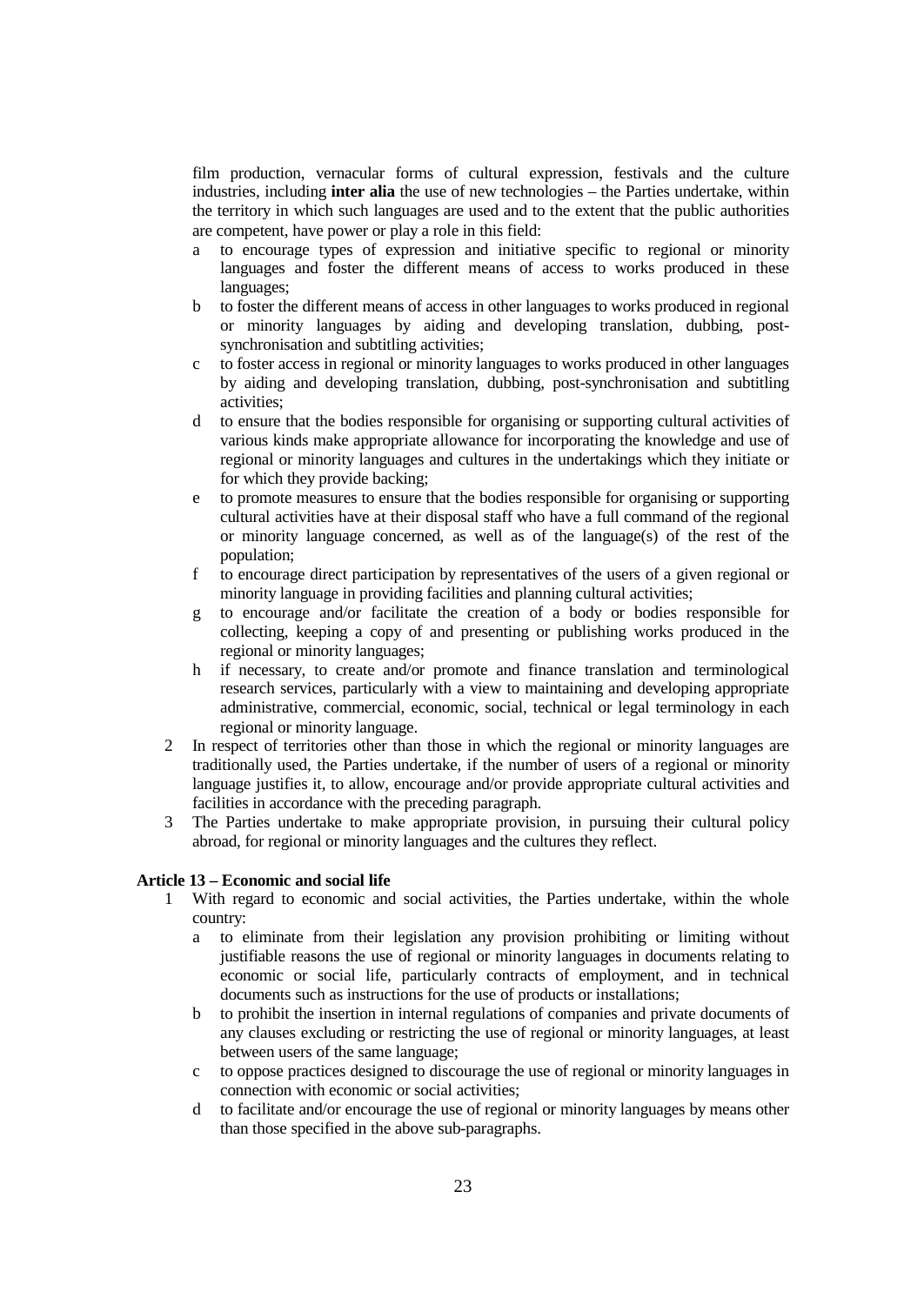film production, vernacular forms of cultural expression, festivals and the culture industries, including **inter alia** the use of new technologies – the Parties undertake, within the territory in which such languages are used and to the extent that the public authorities are competent, have power or play a role in this field:

- a to encourage types of expression and initiative specific to regional or minority languages and foster the different means of access to works produced in these languages;
- b to foster the different means of access in other languages to works produced in regional or minority languages by aiding and developing translation, dubbing, postsynchronisation and subtitling activities;
- c to foster access in regional or minority languages to works produced in other languages by aiding and developing translation, dubbing, post-synchronisation and subtitling activities;
- d to ensure that the bodies responsible for organising or supporting cultural activities of various kinds make appropriate allowance for incorporating the knowledge and use of regional or minority languages and cultures in the undertakings which they initiate or for which they provide backing;
- e to promote measures to ensure that the bodies responsible for organising or supporting cultural activities have at their disposal staff who have a full command of the regional or minority language concerned, as well as of the language(s) of the rest of the population;
- f to encourage direct participation by representatives of the users of a given regional or minority language in providing facilities and planning cultural activities;
- g to encourage and/or facilitate the creation of a body or bodies responsible for collecting, keeping a copy of and presenting or publishing works produced in the regional or minority languages;
- h if necessary, to create and/or promote and finance translation and terminological research services, particularly with a view to maintaining and developing appropriate administrative, commercial, economic, social, technical or legal terminology in each regional or minority language.
- 2 In respect of territories other than those in which the regional or minority languages are traditionally used, the Parties undertake, if the number of users of a regional or minority language justifies it, to allow, encourage and/or provide appropriate cultural activities and facilities in accordance with the preceding paragraph.
- 3 The Parties undertake to make appropriate provision, in pursuing their cultural policy abroad, for regional or minority languages and the cultures they reflect.

#### **Article 13 – Economic and social life**

- 1 With regard to economic and social activities, the Parties undertake, within the whole country:
	- a to eliminate from their legislation any provision prohibiting or limiting without justifiable reasons the use of regional or minority languages in documents relating to economic or social life, particularly contracts of employment, and in technical documents such as instructions for the use of products or installations;
	- b to prohibit the insertion in internal regulations of companies and private documents of any clauses excluding or restricting the use of regional or minority languages, at least between users of the same language;
	- c to oppose practices designed to discourage the use of regional or minority languages in connection with economic or social activities;
	- d to facilitate and/or encourage the use of regional or minority languages by means other than those specified in the above sub-paragraphs.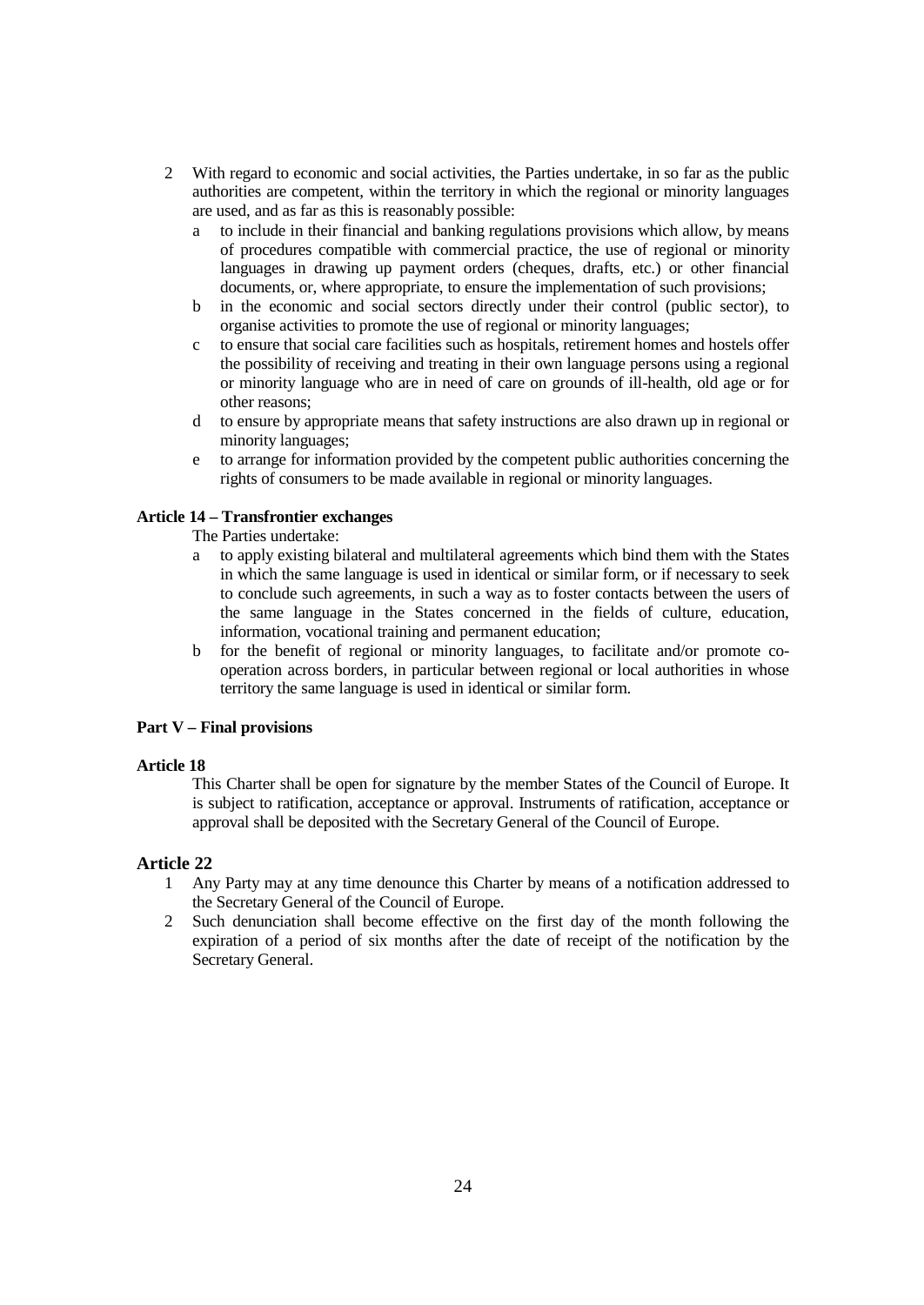- 2 With regard to economic and social activities, the Parties undertake, in so far as the public authorities are competent, within the territory in which the regional or minority languages are used, and as far as this is reasonably possible:
	- a to include in their financial and banking regulations provisions which allow, by means of procedures compatible with commercial practice, the use of regional or minority languages in drawing up payment orders (cheques, drafts, etc.) or other financial documents, or, where appropriate, to ensure the implementation of such provisions;
	- b in the economic and social sectors directly under their control (public sector), to organise activities to promote the use of regional or minority languages;
	- c to ensure that social care facilities such as hospitals, retirement homes and hostels offer the possibility of receiving and treating in their own language persons using a regional or minority language who are in need of care on grounds of ill-health, old age or for other reasons;
	- d to ensure by appropriate means that safety instructions are also drawn up in regional or minority languages;
	- e to arrange for information provided by the competent public authorities concerning the rights of consumers to be made available in regional or minority languages.

### **Article 14 – Transfrontier exchanges**

The Parties undertake:

- a to apply existing bilateral and multilateral agreements which bind them with the States in which the same language is used in identical or similar form, or if necessary to seek to conclude such agreements, in such a way as to foster contacts between the users of the same language in the States concerned in the fields of culture, education, information, vocational training and permanent education;
- b for the benefit of regional or minority languages, to facilitate and/or promote cooperation across borders, in particular between regional or local authorities in whose territory the same language is used in identical or similar form.

#### **Part V – Final provisions**

#### **Article 18**

This Charter shall be open for signature by the member States of the Council of Europe. It is subject to ratification, acceptance or approval. Instruments of ratification, acceptance or approval shall be deposited with the Secretary General of the Council of Europe.

## **Article 22**

- 1 Any Party may at any time denounce this Charter by means of a notification addressed to the Secretary General of the Council of Europe.
- 2 Such denunciation shall become effective on the first day of the month following the expiration of a period of six months after the date of receipt of the notification by the Secretary General.